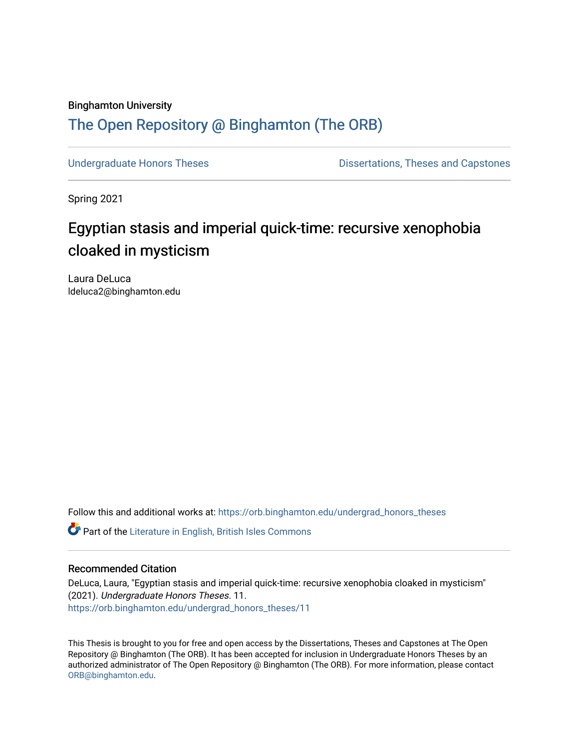## Binghamton University [The Open Repository @ Binghamton \(The ORB\)](https://orb.binghamton.edu/)

[Undergraduate Honors Theses](https://orb.binghamton.edu/undergrad_honors_theses) **Dissertations**, Theses and Capstones

Spring 2021

# Egyptian stasis and imperial quick-time: recursive xenophobia cloaked in mysticism

Laura DeLuca ldeluca2@binghamton.edu

Follow this and additional works at: [https://orb.binghamton.edu/undergrad\\_honors\\_theses](https://orb.binghamton.edu/undergrad_honors_theses?utm_source=orb.binghamton.edu%2Fundergrad_honors_theses%2F11&utm_medium=PDF&utm_campaign=PDFCoverPages) 

Part of the [Literature in English, British Isles Commons](https://network.bepress.com/hgg/discipline/456?utm_source=orb.binghamton.edu%2Fundergrad_honors_theses%2F11&utm_medium=PDF&utm_campaign=PDFCoverPages)

## Recommended Citation

DeLuca, Laura, "Egyptian stasis and imperial quick-time: recursive xenophobia cloaked in mysticism" (2021). Undergraduate Honors Theses. 11. [https://orb.binghamton.edu/undergrad\\_honors\\_theses/11](https://orb.binghamton.edu/undergrad_honors_theses/11?utm_source=orb.binghamton.edu%2Fundergrad_honors_theses%2F11&utm_medium=PDF&utm_campaign=PDFCoverPages)

This Thesis is brought to you for free and open access by the Dissertations, Theses and Capstones at The Open Repository @ Binghamton (The ORB). It has been accepted for inclusion in Undergraduate Honors Theses by an authorized administrator of The Open Repository @ Binghamton (The ORB). For more information, please contact [ORB@binghamton.edu.](mailto:ORB@binghamton.edu)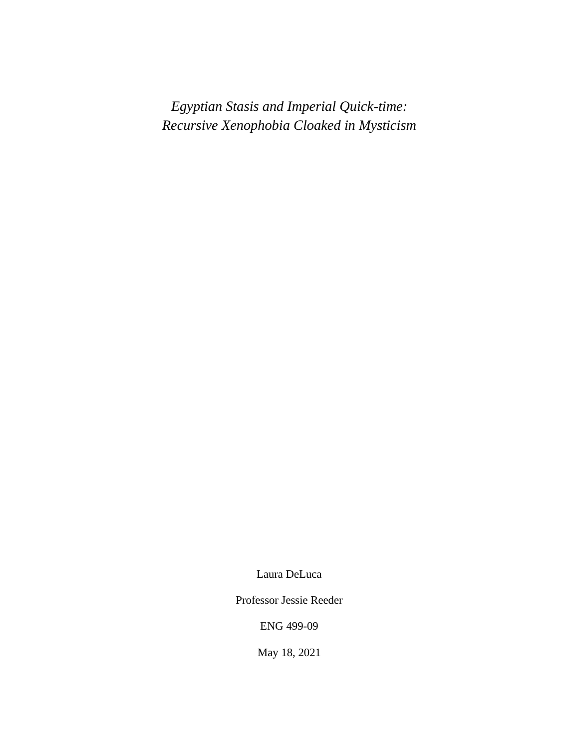*Egyptian Stasis and Imperial Quick-time: Recursive Xenophobia Cloaked in Mysticism*

Laura DeLuca

Professor Jessie Reeder

ENG 499-09

May 18, 2021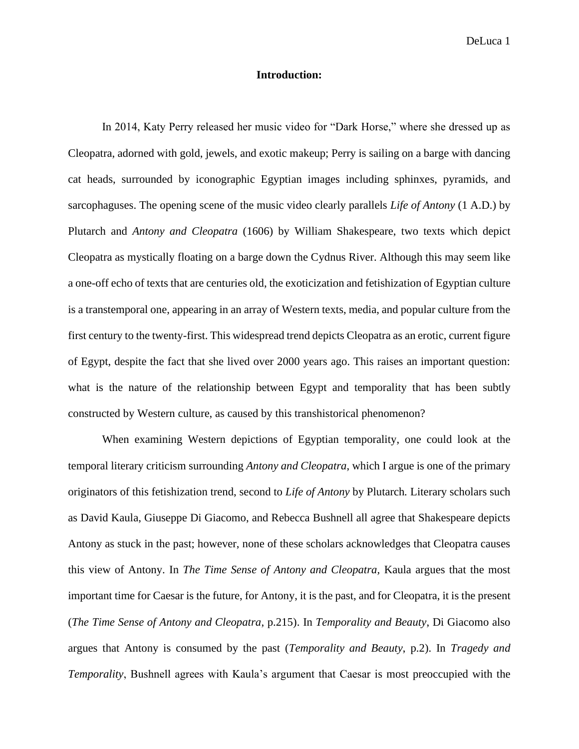## **Introduction:**

 In 2014, Katy Perry released her music video for "Dark Horse," where she dressed up as Cleopatra, adorned with gold, jewels, and exotic makeup; Perry is sailing on a barge with dancing cat heads, surrounded by iconographic Egyptian images including sphinxes, pyramids, and sarcophaguses. The opening scene of the music video clearly parallels *Life of Antony* (1 A.D.) by Plutarch and *Antony and Cleopatra* (1606) by William Shakespeare, two texts which depict Cleopatra as mystically floating on a barge down the Cydnus River. Although this may seem like a one-off echo of texts that are centuries old, the exoticization and fetishization of Egyptian culture is a transtemporal one, appearing in an array of Western texts, media, and popular culture from the first century to the twenty-first. This widespread trend depicts Cleopatra as an erotic, current figure of Egypt, despite the fact that she lived over 2000 years ago. This raises an important question: what is the nature of the relationship between Egypt and temporality that has been subtly constructed by Western culture, as caused by this transhistorical phenomenon?

 When examining Western depictions of Egyptian temporality, one could look at the temporal literary criticism surrounding *Antony and Cleopatra*, which I argue is one of the primary originators of this fetishization trend, second to *Life of Antony* by Plutarch*.* Literary scholars such as David Kaula, Giuseppe Di Giacomo, and Rebecca Bushnell all agree that Shakespeare depicts Antony as stuck in the past; however, none of these scholars acknowledges that Cleopatra causes this view of Antony. In *The Time Sense of Antony and Cleopatra,* Kaula argues that the most important time for Caesar is the future, for Antony, it is the past, and for Cleopatra, it is the present (*The Time Sense of Antony and Cleopatra*, p.215). In *Temporality and Beauty*, Di Giacomo also argues that Antony is consumed by the past (*Temporality and Beauty*, p.2). In *Tragedy and Temporality*, Bushnell agrees with Kaula's argument that Caesar is most preoccupied with the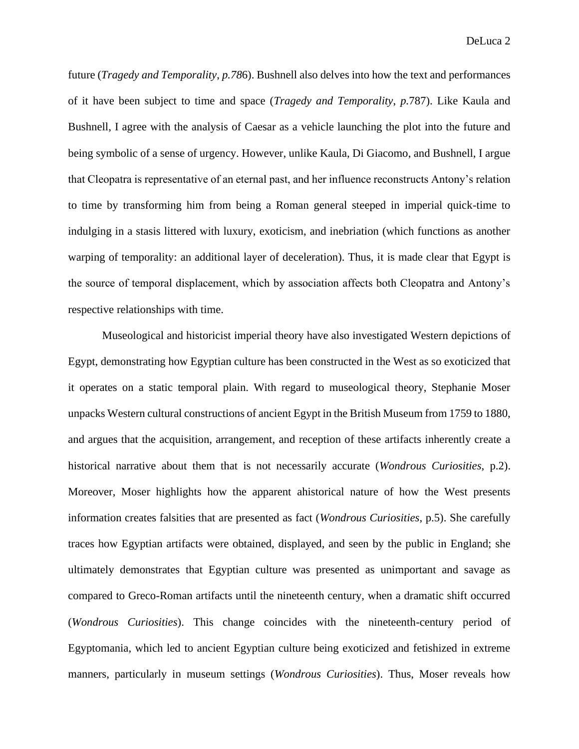future (*Tragedy and Temporality*, *p.78*6). Bushnell also delves into how the text and performances of it have been subject to time and space (*Tragedy and Temporality*, *p.*787). Like Kaula and Bushnell, I agree with the analysis of Caesar as a vehicle launching the plot into the future and being symbolic of a sense of urgency. However, unlike Kaula, Di Giacomo, and Bushnell, I argue that Cleopatra is representative of an eternal past, and her influence reconstructs Antony's relation to time by transforming him from being a Roman general steeped in imperial quick-time to indulging in a stasis littered with luxury, exoticism, and inebriation (which functions as another warping of temporality: an additional layer of deceleration). Thus, it is made clear that Egypt is the source of temporal displacement, which by association affects both Cleopatra and Antony's respective relationships with time.

 Museological and historicist imperial theory have also investigated Western depictions of Egypt, demonstrating how Egyptian culture has been constructed in the West as so exoticized that it operates on a static temporal plain. With regard to museological theory, Stephanie Moser unpacks Western cultural constructions of ancient Egypt in the British Museum from 1759 to 1880, and argues that the acquisition, arrangement, and reception of these artifacts inherently create a historical narrative about them that is not necessarily accurate (*Wondrous Curiosities*, p.2). Moreover, Moser highlights how the apparent ahistorical nature of how the West presents information creates falsities that are presented as fact (*Wondrous Curiosities*, p.5). She carefully traces how Egyptian artifacts were obtained, displayed, and seen by the public in England; she ultimately demonstrates that Egyptian culture was presented as unimportant and savage as compared to Greco-Roman artifacts until the nineteenth century, when a dramatic shift occurred (*Wondrous Curiosities*). This change coincides with the nineteenth-century period of Egyptomania, which led to ancient Egyptian culture being exoticized and fetishized in extreme manners, particularly in museum settings (*Wondrous Curiosities*). Thus, Moser reveals how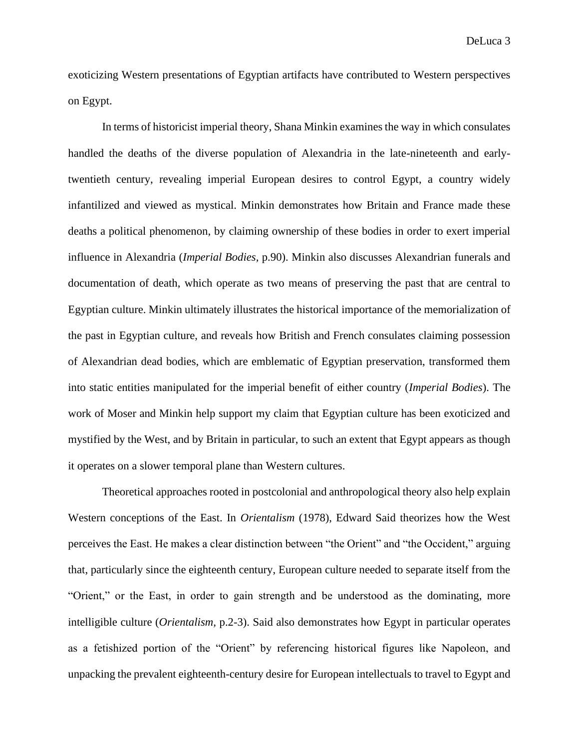exoticizing Western presentations of Egyptian artifacts have contributed to Western perspectives on Egypt.

In terms of historicist imperial theory, Shana Minkin examines the way in which consulates handled the deaths of the diverse population of Alexandria in the late-nineteenth and earlytwentieth century, revealing imperial European desires to control Egypt, a country widely infantilized and viewed as mystical. Minkin demonstrates how Britain and France made these deaths a political phenomenon, by claiming ownership of these bodies in order to exert imperial influence in Alexandria (*Imperial Bodies,* p.90). Minkin also discusses Alexandrian funerals and documentation of death, which operate as two means of preserving the past that are central to Egyptian culture. Minkin ultimately illustrates the historical importance of the memorialization of the past in Egyptian culture, and reveals how British and French consulates claiming possession of Alexandrian dead bodies, which are emblematic of Egyptian preservation, transformed them into static entities manipulated for the imperial benefit of either country (*Imperial Bodies*). The work of Moser and Minkin help support my claim that Egyptian culture has been exoticized and mystified by the West, and by Britain in particular, to such an extent that Egypt appears as though it operates on a slower temporal plane than Western cultures.

 Theoretical approaches rooted in postcolonial and anthropological theory also help explain Western conceptions of the East. In *Orientalism* (1978), Edward Said theorizes how the West perceives the East. He makes a clear distinction between "the Orient" and "the Occident," arguing that, particularly since the eighteenth century, European culture needed to separate itself from the "Orient," or the East, in order to gain strength and be understood as the dominating, more intelligible culture (*Orientalism,* p.2-3). Said also demonstrates how Egypt in particular operates as a fetishized portion of the "Orient" by referencing historical figures like Napoleon, and unpacking the prevalent eighteenth-century desire for European intellectuals to travel to Egypt and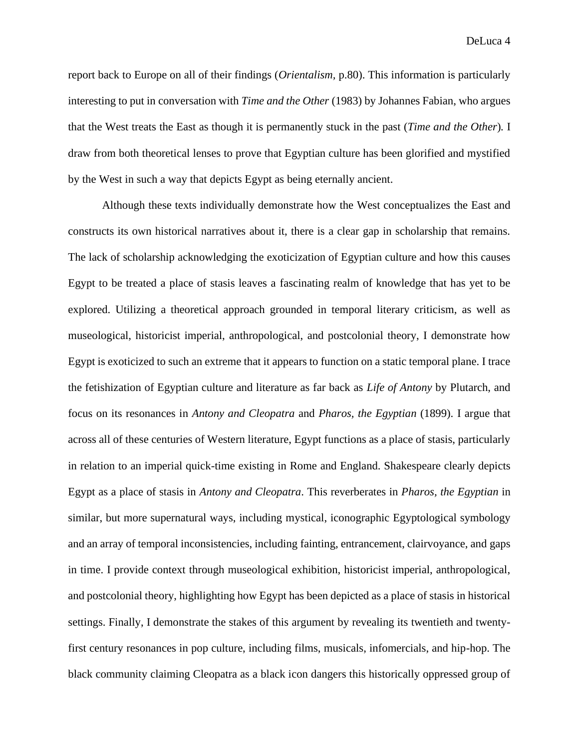report back to Europe on all of their findings (*Orientalism,* p.80). This information is particularly interesting to put in conversation with *Time and the Other* (1983) by Johannes Fabian, who argues that the West treats the East as though it is permanently stuck in the past (*Time and the Other*)*.* I draw from both theoretical lenses to prove that Egyptian culture has been glorified and mystified by the West in such a way that depicts Egypt as being eternally ancient.

 Although these texts individually demonstrate how the West conceptualizes the East and constructs its own historical narratives about it, there is a clear gap in scholarship that remains. The lack of scholarship acknowledging the exoticization of Egyptian culture and how this causes Egypt to be treated a place of stasis leaves a fascinating realm of knowledge that has yet to be explored. Utilizing a theoretical approach grounded in temporal literary criticism, as well as museological, historicist imperial, anthropological, and postcolonial theory, I demonstrate how Egypt is exoticized to such an extreme that it appears to function on a static temporal plane. I trace the fetishization of Egyptian culture and literature as far back as *Life of Antony* by Plutarch, and focus on its resonances in *Antony and Cleopatra* and *Pharos, the Egyptian* (1899). I argue that across all of these centuries of Western literature, Egypt functions as a place of stasis, particularly in relation to an imperial quick-time existing in Rome and England. Shakespeare clearly depicts Egypt as a place of stasis in *Antony and Cleopatra*. This reverberates in *Pharos, the Egyptian* in similar, but more supernatural ways, including mystical, iconographic Egyptological symbology and an array of temporal inconsistencies, including fainting, entrancement, clairvoyance, and gaps in time. I provide context through museological exhibition, historicist imperial, anthropological, and postcolonial theory, highlighting how Egypt has been depicted as a place of stasis in historical settings. Finally, I demonstrate the stakes of this argument by revealing its twentieth and twentyfirst century resonances in pop culture, including films, musicals, infomercials, and hip-hop. The black community claiming Cleopatra as a black icon dangers this historically oppressed group of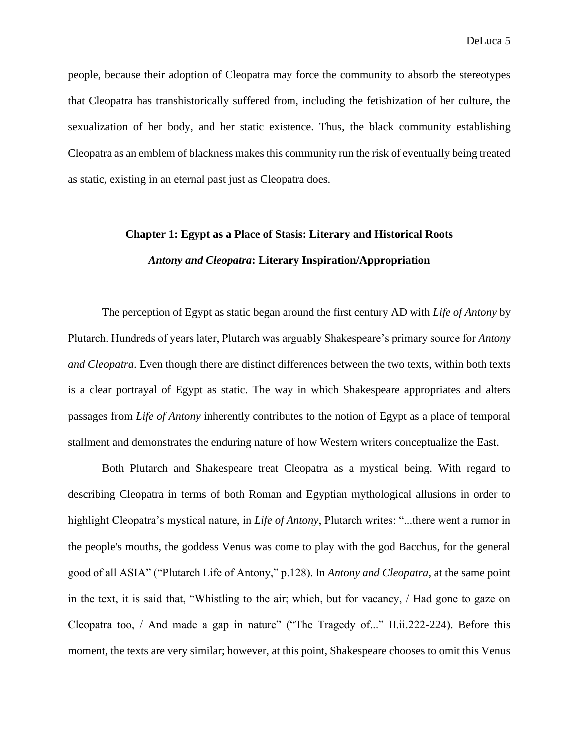people, because their adoption of Cleopatra may force the community to absorb the stereotypes that Cleopatra has transhistorically suffered from, including the fetishization of her culture, the sexualization of her body, and her static existence. Thus, the black community establishing Cleopatra as an emblem of blackness makes this community run the risk of eventually being treated as static, existing in an eternal past just as Cleopatra does.

## **Chapter 1: Egypt as a Place of Stasis: Literary and Historical Roots** *Antony and Cleopatra***: Literary Inspiration/Appropriation**

The perception of Egypt as static began around the first century AD with *Life of Antony* by Plutarch. Hundreds of years later, Plutarch was arguably Shakespeare's primary source for *Antony and Cleopatra*. Even though there are distinct differences between the two texts, within both texts is a clear portrayal of Egypt as static. The way in which Shakespeare appropriates and alters passages from *Life of Antony* inherently contributes to the notion of Egypt as a place of temporal stallment and demonstrates the enduring nature of how Western writers conceptualize the East.

Both Plutarch and Shakespeare treat Cleopatra as a mystical being. With regard to describing Cleopatra in terms of both Roman and Egyptian mythological allusions in order to highlight Cleopatra's mystical nature, in *Life of Antony*, Plutarch writes: "...there went a rumor in the people's mouths, the goddess Venus was come to play with the god Bacchus, for the general good of all ASIA" ("Plutarch Life of Antony," p.128). In *Antony and Cleopatra*, at the same point in the text, it is said that, "Whistling to the air; which, but for vacancy, / Had gone to gaze on Cleopatra too, / And made a gap in nature" ("The Tragedy of..." II.ii.222-224). Before this moment, the texts are very similar; however, at this point, Shakespeare chooses to omit this Venus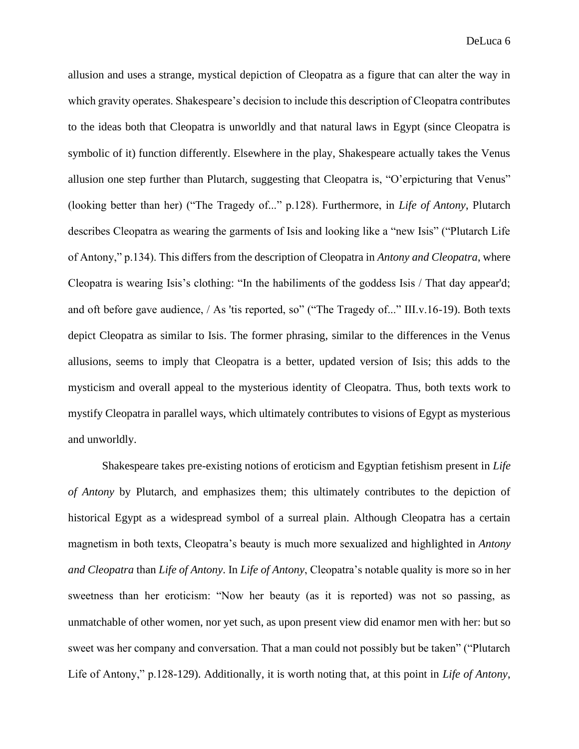allusion and uses a strange, mystical depiction of Cleopatra as a figure that can alter the way in which gravity operates. Shakespeare's decision to include this description of Cleopatra contributes to the ideas both that Cleopatra is unworldly and that natural laws in Egypt (since Cleopatra is symbolic of it) function differently. Elsewhere in the play, Shakespeare actually takes the Venus allusion one step further than Plutarch, suggesting that Cleopatra is, "O'erpicturing that Venus" (looking better than her) ("The Tragedy of..." p.128). Furthermore, in *Life of Antony*, Plutarch describes Cleopatra as wearing the garments of Isis and looking like a "new Isis" ("Plutarch Life of Antony," p.134). This differs from the description of Cleopatra in *Antony and Cleopatra*, where Cleopatra is wearing Isis's clothing: "In the habiliments of the goddess Isis / That day appear'd; and oft before gave audience, / As 'tis reported, so" ("The Tragedy of..." III.v.16-19). Both texts depict Cleopatra as similar to Isis. The former phrasing, similar to the differences in the Venus allusions, seems to imply that Cleopatra is a better, updated version of Isis; this adds to the mysticism and overall appeal to the mysterious identity of Cleopatra. Thus, both texts work to mystify Cleopatra in parallel ways, which ultimately contributes to visions of Egypt as mysterious and unworldly.

Shakespeare takes pre-existing notions of eroticism and Egyptian fetishism present in *Life of Antony* by Plutarch, and emphasizes them; this ultimately contributes to the depiction of historical Egypt as a widespread symbol of a surreal plain. Although Cleopatra has a certain magnetism in both texts, Cleopatra's beauty is much more sexualized and highlighted in *Antony and Cleopatra* than *Life of Antony*. In *Life of Antony*, Cleopatra's notable quality is more so in her sweetness than her eroticism: "Now her beauty (as it is reported) was not so passing, as unmatchable of other women, nor yet such, as upon present view did enamor men with her: but so sweet was her company and conversation. That a man could not possibly but be taken" ("Plutarch Life of Antony," p.128-129). Additionally, it is worth noting that, at this point in *Life of Antony*,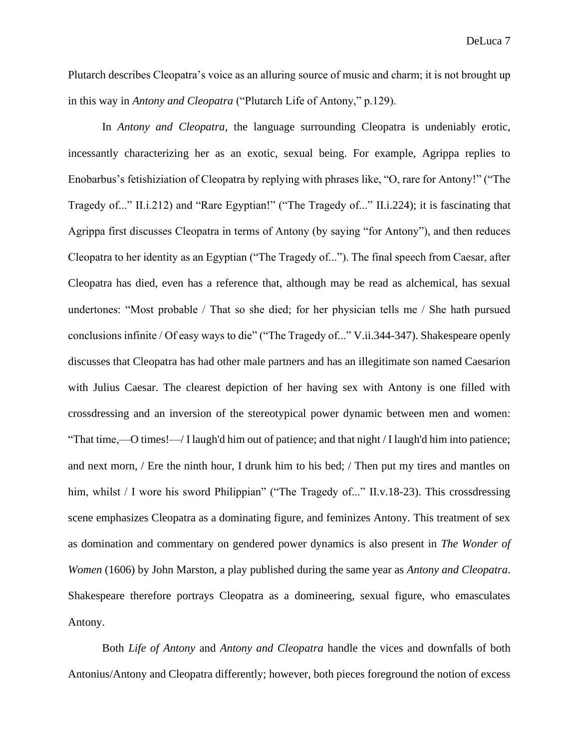Plutarch describes Cleopatra's voice as an alluring source of music and charm; it is not brought up in this way in *Antony and Cleopatra* ("Plutarch Life of Antony," p.129).

In *Antony and Cleopatra*, the language surrounding Cleopatra is undeniably erotic, incessantly characterizing her as an exotic, sexual being. For example, Agrippa replies to Enobarbus's fetishiziation of Cleopatra by replying with phrases like, "O, rare for Antony!" ("The Tragedy of..." II.i.212) and "Rare Egyptian!" ("The Tragedy of..." II.i.224); it is fascinating that Agrippa first discusses Cleopatra in terms of Antony (by saying "for Antony"), and then reduces Cleopatra to her identity as an Egyptian ("The Tragedy of..."). The final speech from Caesar, after Cleopatra has died, even has a reference that, although may be read as alchemical, has sexual undertones: "Most probable / That so she died; for her physician tells me / She hath pursued conclusions infinite / Of easy ways to die" ("The Tragedy of..." V.ii.344-347). Shakespeare openly discusses that Cleopatra has had other male partners and has an illegitimate son named Caesarion with Julius Caesar. The clearest depiction of her having sex with Antony is one filled with crossdressing and an inversion of the stereotypical power dynamic between men and women: "That time,—O times!—/ I laugh'd him out of patience; and that night / I laugh'd him into patience; and next morn, / Ere the ninth hour, I drunk him to his bed; / Then put my tires and mantles on him, whilst / I wore his sword Philippian" ("The Tragedy of..." II.v.18-23). This crossdressing scene emphasizes Cleopatra as a dominating figure, and feminizes Antony. This treatment of sex as domination and commentary on gendered power dynamics is also present in *The Wonder of Women* (1606) by John Marston, a play published during the same year as *Antony and Cleopatra*. Shakespeare therefore portrays Cleopatra as a domineering, sexual figure, who emasculates Antony.

Both *Life of Antony* and *Antony and Cleopatra* handle the vices and downfalls of both Antonius/Antony and Cleopatra differently; however, both pieces foreground the notion of excess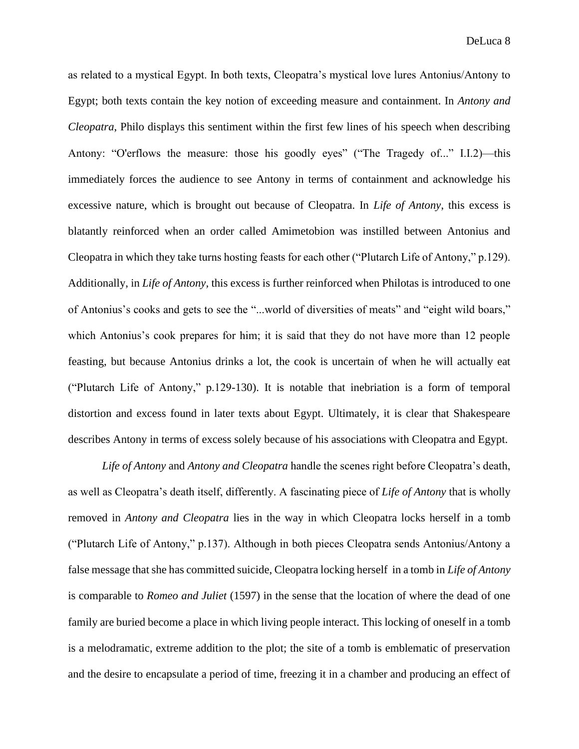as related to a mystical Egypt. In both texts, Cleopatra's mystical love lures Antonius/Antony to Egypt; both texts contain the key notion of exceeding measure and containment. In *Antony and Cleopatra*, Philo displays this sentiment within the first few lines of his speech when describing Antony: "O'erflows the measure: those his goodly eyes" ("The Tragedy of..." I.I.2)—this immediately forces the audience to see Antony in terms of containment and acknowledge his excessive nature, which is brought out because of Cleopatra. In *Life of Antony*, this excess is blatantly reinforced when an order called Amimetobion was instilled between Antonius and Cleopatra in which they take turns hosting feasts for each other ("Plutarch Life of Antony," p.129). Additionally, in *Life of Antony,* this excess is further reinforced when Philotas is introduced to one of Antonius's cooks and gets to see the "...world of diversities of meats" and "eight wild boars," which Antonius's cook prepares for him; it is said that they do not have more than 12 people feasting, but because Antonius drinks a lot, the cook is uncertain of when he will actually eat ("Plutarch Life of Antony," p.129-130). It is notable that inebriation is a form of temporal distortion and excess found in later texts about Egypt. Ultimately, it is clear that Shakespeare describes Antony in terms of excess solely because of his associations with Cleopatra and Egypt.

*Life of Antony* and *Antony and Cleopatra* handle the scenes right before Cleopatra's death, as well as Cleopatra's death itself, differently. A fascinating piece of *Life of Antony* that is wholly removed in *Antony and Cleopatra* lies in the way in which Cleopatra locks herself in a tomb ("Plutarch Life of Antony," p.137). Although in both pieces Cleopatra sends Antonius/Antony a false message that she has committed suicide, Cleopatra locking herself in a tomb in *Life of Antony* is comparable to *Romeo and Juliet* (1597) in the sense that the location of where the dead of one family are buried become a place in which living people interact. This locking of oneself in a tomb is a melodramatic, extreme addition to the plot; the site of a tomb is emblematic of preservation and the desire to encapsulate a period of time, freezing it in a chamber and producing an effect of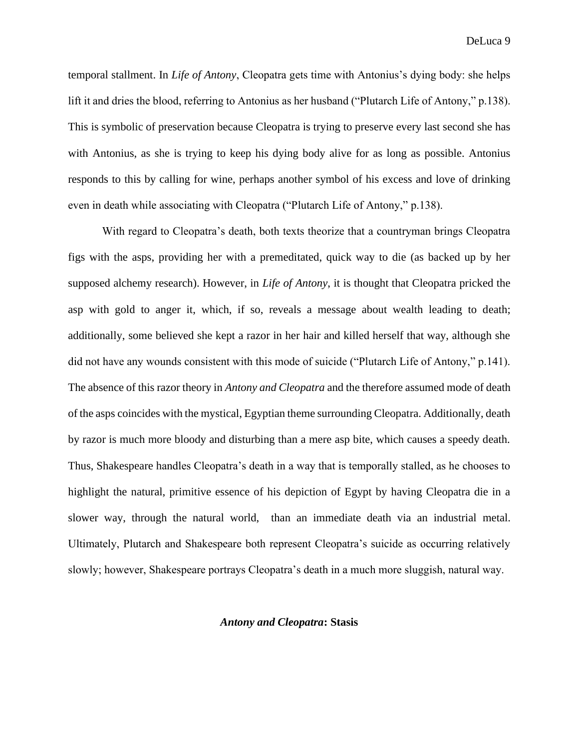temporal stallment. In *Life of Antony*, Cleopatra gets time with Antonius's dying body: she helps lift it and dries the blood, referring to Antonius as her husband ("Plutarch Life of Antony," p.138). This is symbolic of preservation because Cleopatra is trying to preserve every last second she has with Antonius, as she is trying to keep his dying body alive for as long as possible. Antonius responds to this by calling for wine, perhaps another symbol of his excess and love of drinking even in death while associating with Cleopatra ("Plutarch Life of Antony," p.138).

With regard to Cleopatra's death, both texts theorize that a countryman brings Cleopatra figs with the asps, providing her with a premeditated, quick way to die (as backed up by her supposed alchemy research). However, in *Life of Antony*, it is thought that Cleopatra pricked the asp with gold to anger it, which, if so, reveals a message about wealth leading to death; additionally, some believed she kept a razor in her hair and killed herself that way, although she did not have any wounds consistent with this mode of suicide ("Plutarch Life of Antony," p.141). The absence of this razor theory in *Antony and Cleopatra* and the therefore assumed mode of death of the asps coincides with the mystical, Egyptian theme surrounding Cleopatra. Additionally, death by razor is much more bloody and disturbing than a mere asp bite, which causes a speedy death. Thus, Shakespeare handles Cleopatra's death in a way that is temporally stalled, as he chooses to highlight the natural, primitive essence of his depiction of Egypt by having Cleopatra die in a slower way, through the natural world, than an immediate death via an industrial metal. Ultimately, Plutarch and Shakespeare both represent Cleopatra's suicide as occurring relatively slowly; however, Shakespeare portrays Cleopatra's death in a much more sluggish, natural way.

#### *Antony and Cleopatra***: Stasis**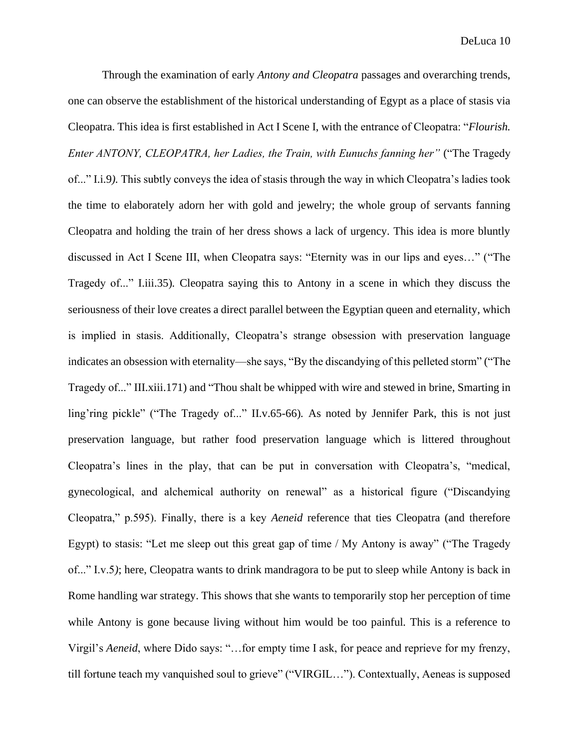Through the examination of early *Antony and Cleopatra* passages and overarching trends, one can observe the establishment of the historical understanding of Egypt as a place of stasis via Cleopatra. This idea is first established in Act I Scene I, with the entrance of Cleopatra: "*Flourish. Enter ANTONY, CLEOPATRA, her Ladies, the Train, with Eunuchs fanning her"* ("The Tragedy of..." I.i.9*).* This subtly conveys the idea of stasis through the way in which Cleopatra's ladies took the time to elaborately adorn her with gold and jewelry; the whole group of servants fanning Cleopatra and holding the train of her dress shows a lack of urgency. This idea is more bluntly discussed in Act I Scene III, when Cleopatra says: "Eternity was in our lips and eyes…" ("The Tragedy of..." I.iii.35)*.* Cleopatra saying this to Antony in a scene in which they discuss the seriousness of their love creates a direct parallel between the Egyptian queen and eternality, which is implied in stasis. Additionally, Cleopatra's strange obsession with preservation language indicates an obsession with eternality—she says, "By the discandying of this pelleted storm" ("The Tragedy of..." III.xiii.171) and "Thou shalt be whipped with wire and stewed in brine, Smarting in ling'ring pickle" ("The Tragedy of..." II.v.65-66). As noted by Jennifer Park, this is not just preservation language, but rather food preservation language which is littered throughout Cleopatra's lines in the play, that can be put in conversation with Cleopatra's, "medical, gynecological, and alchemical authority on renewal" as a historical figure ("Discandying Cleopatra," p.595). Finally, there is a key *Aeneid* reference that ties Cleopatra (and therefore Egypt) to stasis: "Let me sleep out this great gap of time / My Antony is away" ("The Tragedy of..." I.v.5*)*; here, Cleopatra wants to drink mandragora to be put to sleep while Antony is back in Rome handling war strategy. This shows that she wants to temporarily stop her perception of time while Antony is gone because living without him would be too painful*.* This is a reference to Virgil's *Aeneid*, where Dido says: "…for empty time I ask, for peace and reprieve for my frenzy, till fortune teach my vanquished soul to grieve" ("VIRGIL…"). Contextually, Aeneas is supposed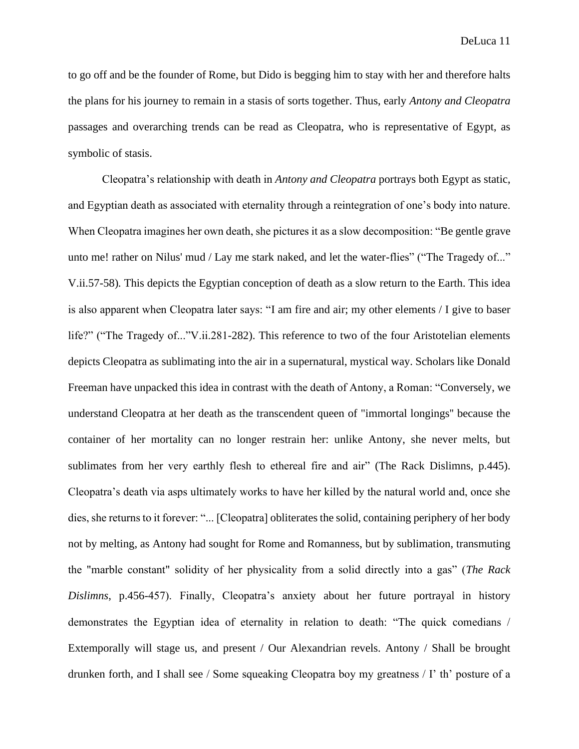to go off and be the founder of Rome, but Dido is begging him to stay with her and therefore halts the plans for his journey to remain in a stasis of sorts together. Thus, early *Antony and Cleopatra* passages and overarching trends can be read as Cleopatra, who is representative of Egypt, as symbolic of stasis.

Cleopatra's relationship with death in *Antony and Cleopatra* portrays both Egypt as static, and Egyptian death as associated with eternality through a reintegration of one's body into nature. When Cleopatra imagines her own death, she pictures it as a slow decomposition: "Be gentle grave unto me! rather on Nilus' mud / Lay me stark naked, and let the water-flies" ("The Tragedy of..." V.ii.57-58)*.* This depicts the Egyptian conception of death as a slow return to the Earth. This idea is also apparent when Cleopatra later says: "I am fire and air; my other elements / I give to baser life?" ("The Tragedy of..."V.ii.281-282). This reference to two of the four Aristotelian elements depicts Cleopatra as sublimating into the air in a supernatural, mystical way. Scholars like Donald Freeman have unpacked this idea in contrast with the death of Antony, a Roman: "Conversely, we understand Cleopatra at her death as the transcendent queen of "immortal longings'' because the container of her mortality can no longer restrain her: unlike Antony, she never melts, but sublimates from her very earthly flesh to ethereal fire and air" (The Rack Dislimns, p.445). Cleopatra's death via asps ultimately works to have her killed by the natural world and, once she dies, she returns to it forever: "... [Cleopatra] obliterates the solid, containing periphery of her body not by melting, as Antony had sought for Rome and Romanness, but by sublimation, transmuting the "marble constant" solidity of her physicality from a solid directly into a gas" (*The Rack Dislimns*, p.456-457). Finally, Cleopatra's anxiety about her future portrayal in history demonstrates the Egyptian idea of eternality in relation to death: "The quick comedians / Extemporally will stage us, and present / Our Alexandrian revels. Antony / Shall be brought drunken forth, and I shall see / Some squeaking Cleopatra boy my greatness / I' th' posture of a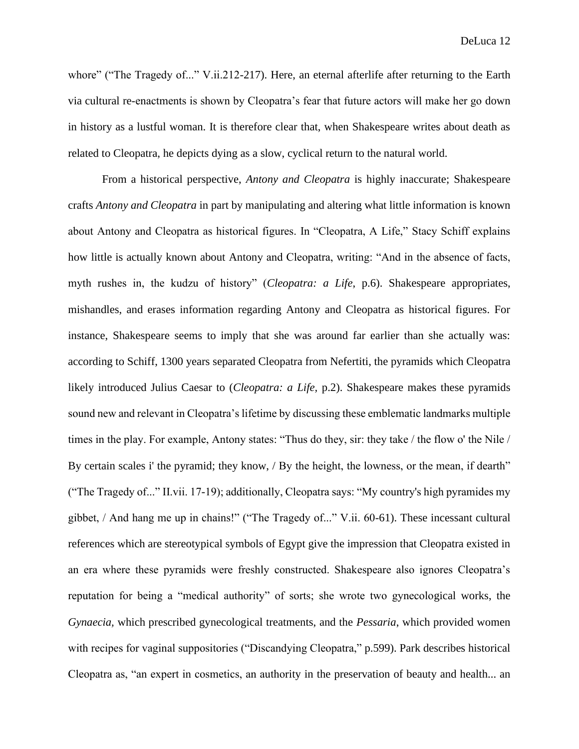DeLuca 12

whore" ("The Tragedy of..." V.ii.212-217). Here, an eternal afterlife after returning to the Earth via cultural re-enactments is shown by Cleopatra's fear that future actors will make her go down in history as a lustful woman. It is therefore clear that, when Shakespeare writes about death as related to Cleopatra, he depicts dying as a slow, cyclical return to the natural world.

From a historical perspective, *Antony and Cleopatra* is highly inaccurate; Shakespeare crafts *Antony and Cleopatra* in part by manipulating and altering what little information is known about Antony and Cleopatra as historical figures. In "Cleopatra, A Life," Stacy Schiff explains how little is actually known about Antony and Cleopatra, writing: "And in the absence of facts, myth rushes in, the kudzu of history" (*Cleopatra: a Life*, p.6). Shakespeare appropriates, mishandles, and erases information regarding Antony and Cleopatra as historical figures. For instance, Shakespeare seems to imply that she was around far earlier than she actually was: according to Schiff, 1300 years separated Cleopatra from Nefertiti, the pyramids which Cleopatra likely introduced Julius Caesar to (*Cleopatra: a Life,* p.2). Shakespeare makes these pyramids sound new and relevant in Cleopatra's lifetime by discussing these emblematic landmarks multiple times in the play. For example, Antony states: "Thus do they, sir: they take / the flow o' the Nile / By certain scales i' the pyramid; they know, / By the height, the lowness, or the mean, if dearth" ("The Tragedy of..." II.vii. 17-19); additionally, Cleopatra says: "My country's high pyramides my gibbet, / And hang me up in chains!" ("The Tragedy of..." V.ii. 60-61). These incessant cultural references which are stereotypical symbols of Egypt give the impression that Cleopatra existed in an era where these pyramids were freshly constructed. Shakespeare also ignores Cleopatra's reputation for being a "medical authority" of sorts; she wrote two gynecological works, the *Gynaecia,* which prescribed gynecological treatments, and the *Pessaria*, which provided women with recipes for vaginal suppositories ("Discandying Cleopatra," p.599). Park describes historical Cleopatra as, "an expert in cosmetics, an authority in the preservation of beauty and health... an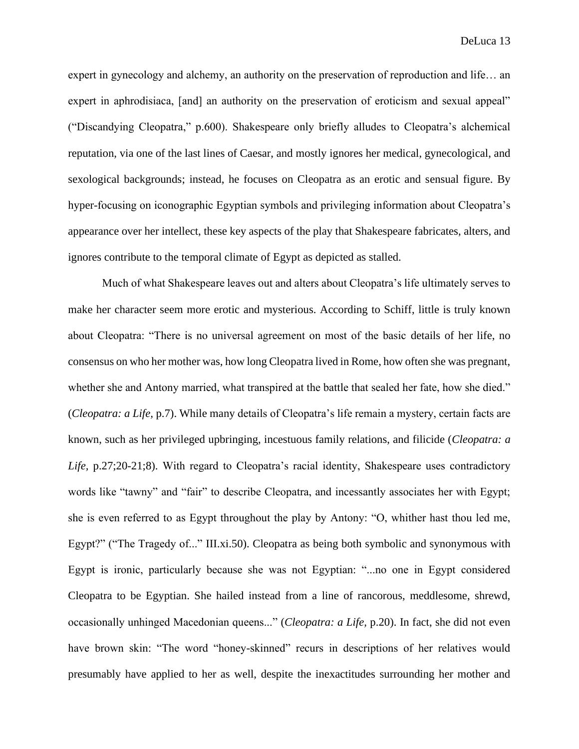expert in gynecology and alchemy, an authority on the preservation of reproduction and life… an expert in aphrodisiaca, [and] an authority on the preservation of eroticism and sexual appeal" ("Discandying Cleopatra," p.600). Shakespeare only briefly alludes to Cleopatra's alchemical reputation, via one of the last lines of Caesar, and mostly ignores her medical, gynecological, and sexological backgrounds; instead, he focuses on Cleopatra as an erotic and sensual figure. By hyper-focusing on iconographic Egyptian symbols and privileging information about Cleopatra's appearance over her intellect, these key aspects of the play that Shakespeare fabricates, alters, and ignores contribute to the temporal climate of Egypt as depicted as stalled.

Much of what Shakespeare leaves out and alters about Cleopatra's life ultimately serves to make her character seem more erotic and mysterious. According to Schiff, little is truly known about Cleopatra: "There is no universal agreement on most of the basic details of her life, no consensus on who her mother was, how long Cleopatra lived in Rome, how often she was pregnant, whether she and Antony married, what transpired at the battle that sealed her fate, how she died." (*Cleopatra: a Life,* p.7). While many details of Cleopatra's life remain a mystery, certain facts are known, such as her privileged upbringing, incestuous family relations, and filicide (*Cleopatra: a Life,* p.27;20-21;8). With regard to Cleopatra's racial identity, Shakespeare uses contradictory words like "tawny" and "fair" to describe Cleopatra, and incessantly associates her with Egypt; she is even referred to as Egypt throughout the play by Antony: "O, whither hast thou led me, Egypt?" ("The Tragedy of..." III.xi.50). Cleopatra as being both symbolic and synonymous with Egypt is ironic, particularly because she was not Egyptian: "...no one in Egypt considered Cleopatra to be Egyptian. She hailed instead from a line of rancorous, meddlesome, shrewd, occasionally unhinged Macedonian queens..." (*Cleopatra: a Life,* p.20). In fact, she did not even have brown skin: "The word "honey-skinned" recurs in descriptions of her relatives would presumably have applied to her as well, despite the inexactitudes surrounding her mother and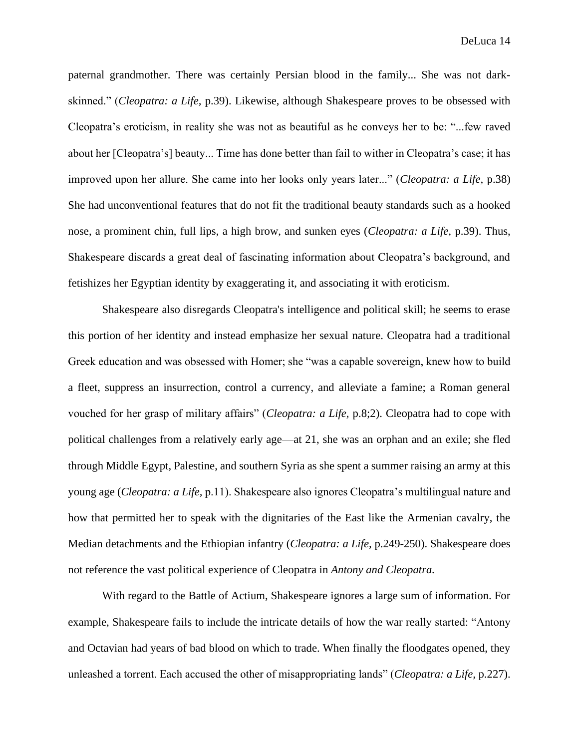paternal grandmother. There was certainly Persian blood in the family... She was not darkskinned." (*Cleopatra: a Life,* p.39). Likewise, although Shakespeare proves to be obsessed with Cleopatra's eroticism, in reality she was not as beautiful as he conveys her to be: "...few raved about her [Cleopatra's] beauty... Time has done better than fail to wither in Cleopatra's case; it has improved upon her allure. She came into her looks only years later..." (*Cleopatra: a Life,* p.38) She had unconventional features that do not fit the traditional beauty standards such as a hooked nose, a prominent chin, full lips, a high brow, and sunken eyes (*Cleopatra: a Life,* p.39). Thus, Shakespeare discards a great deal of fascinating information about Cleopatra's background, and fetishizes her Egyptian identity by exaggerating it, and associating it with eroticism.

Shakespeare also disregards Cleopatra's intelligence and political skill; he seems to erase this portion of her identity and instead emphasize her sexual nature. Cleopatra had a traditional Greek education and was obsessed with Homer; she "was a capable sovereign, knew how to build a fleet, suppress an insurrection, control a currency, and alleviate a famine; a Roman general vouched for her grasp of military affairs" (*Cleopatra: a Life,* p.8;2). Cleopatra had to cope with political challenges from a relatively early age—at 21, she was an orphan and an exile; she fled through Middle Egypt, Palestine, and southern Syria as she spent a summer raising an army at this young age (*Cleopatra: a Life,* p.11). Shakespeare also ignores Cleopatra's multilingual nature and how that permitted her to speak with the dignitaries of the East like the Armenian cavalry, the Median detachments and the Ethiopian infantry (*Cleopatra: a Life,* p.249-250). Shakespeare does not reference the vast political experience of Cleopatra in *Antony and Cleopatra.*

With regard to the Battle of Actium, Shakespeare ignores a large sum of information. For example, Shakespeare fails to include the intricate details of how the war really started: "Antony and Octavian had years of bad blood on which to trade. When finally the floodgates opened, they unleashed a torrent. Each accused the other of misappropriating lands" (*Cleopatra: a Life,* p.227).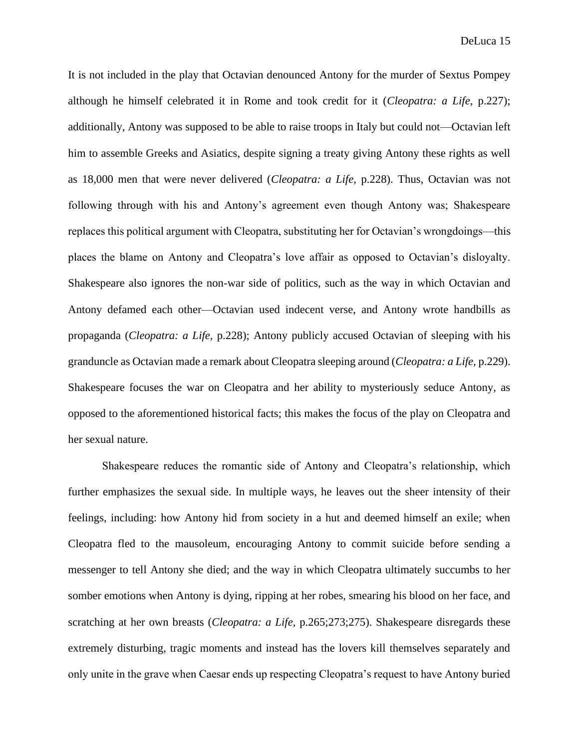It is not included in the play that Octavian denounced Antony for the murder of Sextus Pompey although he himself celebrated it in Rome and took credit for it (*Cleopatra: a Life,* p.227); additionally, Antony was supposed to be able to raise troops in Italy but could not—Octavian left him to assemble Greeks and Asiatics, despite signing a treaty giving Antony these rights as well as 18,000 men that were never delivered (*Cleopatra: a Life,* p.228). Thus, Octavian was not following through with his and Antony's agreement even though Antony was; Shakespeare replaces this political argument with Cleopatra, substituting her for Octavian's wrongdoings—this places the blame on Antony and Cleopatra's love affair as opposed to Octavian's disloyalty. Shakespeare also ignores the non-war side of politics, such as the way in which Octavian and Antony defamed each other—Octavian used indecent verse, and Antony wrote handbills as propaganda (*Cleopatra: a Life,* p.228); Antony publicly accused Octavian of sleeping with his granduncle as Octavian made a remark about Cleopatra sleeping around (*Cleopatra: a Life,* p.229). Shakespeare focuses the war on Cleopatra and her ability to mysteriously seduce Antony, as opposed to the aforementioned historical facts; this makes the focus of the play on Cleopatra and her sexual nature.

Shakespeare reduces the romantic side of Antony and Cleopatra's relationship, which further emphasizes the sexual side. In multiple ways, he leaves out the sheer intensity of their feelings, including: how Antony hid from society in a hut and deemed himself an exile; when Cleopatra fled to the mausoleum, encouraging Antony to commit suicide before sending a messenger to tell Antony she died; and the way in which Cleopatra ultimately succumbs to her somber emotions when Antony is dying, ripping at her robes, smearing his blood on her face, and scratching at her own breasts (*Cleopatra: a Life,* p.265;273;275). Shakespeare disregards these extremely disturbing, tragic moments and instead has the lovers kill themselves separately and only unite in the grave when Caesar ends up respecting Cleopatra's request to have Antony buried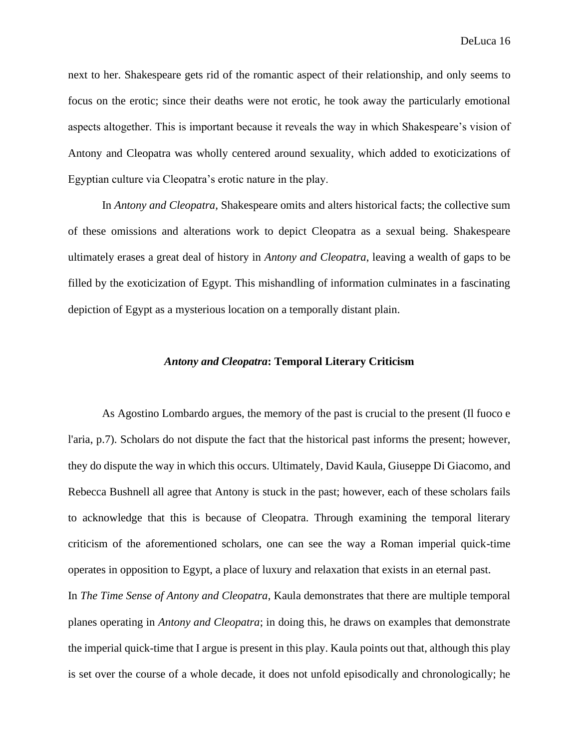next to her. Shakespeare gets rid of the romantic aspect of their relationship, and only seems to focus on the erotic; since their deaths were not erotic, he took away the particularly emotional aspects altogether. This is important because it reveals the way in which Shakespeare's vision of Antony and Cleopatra was wholly centered around sexuality, which added to exoticizations of Egyptian culture via Cleopatra's erotic nature in the play.

In *Antony and Cleopatra,* Shakespeare omits and alters historical facts; the collective sum of these omissions and alterations work to depict Cleopatra as a sexual being. Shakespeare ultimately erases a great deal of history in *Antony and Cleopatra*, leaving a wealth of gaps to be filled by the exoticization of Egypt. This mishandling of information culminates in a fascinating depiction of Egypt as a mysterious location on a temporally distant plain.

#### *Antony and Cleopatra***: Temporal Literary Criticism**

As Agostino Lombardo argues, the memory of the past is crucial to the present (Il fuoco e l'aria, p.7). Scholars do not dispute the fact that the historical past informs the present; however, they do dispute the way in which this occurs. Ultimately, David Kaula, Giuseppe Di Giacomo, and Rebecca Bushnell all agree that Antony is stuck in the past; however, each of these scholars fails to acknowledge that this is because of Cleopatra. Through examining the temporal literary criticism of the aforementioned scholars, one can see the way a Roman imperial quick-time operates in opposition to Egypt, a place of luxury and relaxation that exists in an eternal past.

In *The Time Sense of Antony and Cleopatra*, Kaula demonstrates that there are multiple temporal planes operating in *Antony and Cleopatra*; in doing this, he draws on examples that demonstrate the imperial quick-time that I argue is present in this play. Kaula points out that, although this play is set over the course of a whole decade, it does not unfold episodically and chronologically; he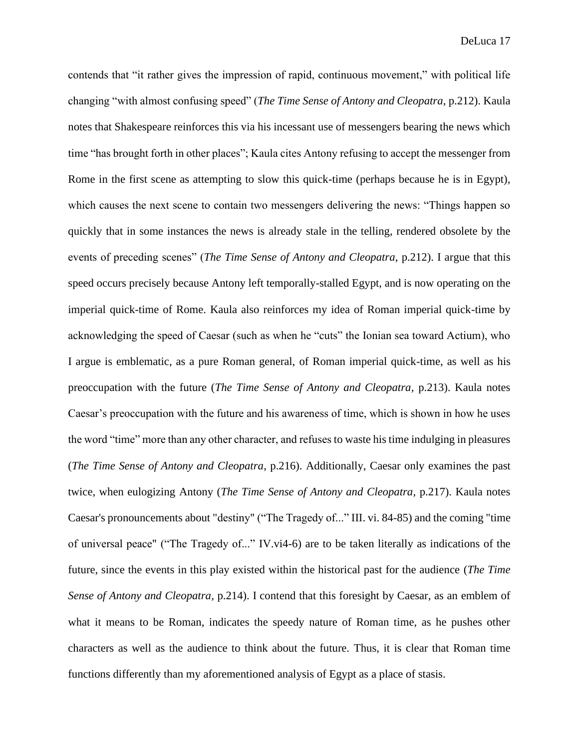contends that "it rather gives the impression of rapid, continuous movement," with political life changing "with almost confusing speed" (*The Time Sense of Antony and Cleopatra*, p.212). Kaula notes that Shakespeare reinforces this via his incessant use of messengers bearing the news which time "has brought forth in other places"; Kaula cites Antony refusing to accept the messenger from Rome in the first scene as attempting to slow this quick-time (perhaps because he is in Egypt), which causes the next scene to contain two messengers delivering the news: "Things happen so quickly that in some instances the news is already stale in the telling, rendered obsolete by the events of preceding scenes" (*The Time Sense of Antony and Cleopatra*, p.212). I argue that this speed occurs precisely because Antony left temporally-stalled Egypt, and is now operating on the imperial quick-time of Rome. Kaula also reinforces my idea of Roman imperial quick-time by acknowledging the speed of Caesar (such as when he "cuts" the Ionian sea toward Actium), who I argue is emblematic, as a pure Roman general, of Roman imperial quick-time, as well as his preoccupation with the future (*The Time Sense of Antony and Cleopatra*, p.213). Kaula notes Caesar's preoccupation with the future and his awareness of time, which is shown in how he uses the word "time" more than any other character, and refuses to waste his time indulging in pleasures (*The Time Sense of Antony and Cleopatra*, p.216). Additionally, Caesar only examines the past twice, when eulogizing Antony (*The Time Sense of Antony and Cleopatra*, p.217). Kaula notes Caesar's pronouncements about "destiny" ("The Tragedy of..." III. vi. 84-85) and the coming "time of universal peace" ("The Tragedy of..." IV.vi4-6) are to be taken literally as indications of the future, since the events in this play existed within the historical past for the audience (*The Time Sense of Antony and Cleopatra*, p.214). I contend that this foresight by Caesar, as an emblem of what it means to be Roman, indicates the speedy nature of Roman time, as he pushes other characters as well as the audience to think about the future. Thus, it is clear that Roman time functions differently than my aforementioned analysis of Egypt as a place of stasis.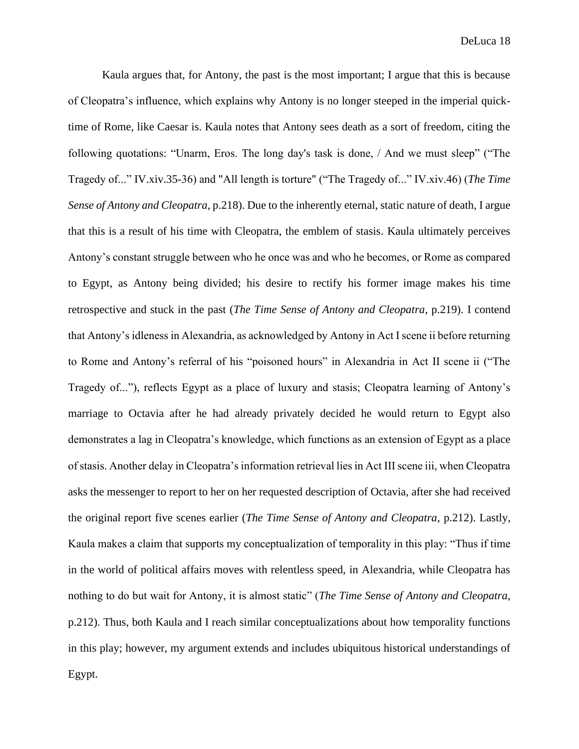Kaula argues that, for Antony, the past is the most important; I argue that this is because of Cleopatra's influence, which explains why Antony is no longer steeped in the imperial quicktime of Rome, like Caesar is. Kaula notes that Antony sees death as a sort of freedom, citing the following quotations: "Unarm, Eros. The long day's task is done, / And we must sleep" ("The Tragedy of..." IV.xiv.35-36) and "All length is torture" ("The Tragedy of..." IV.xiv.46) (*The Time Sense of Antony and Cleopatra*, p.218). Due to the inherently eternal, static nature of death, I argue that this is a result of his time with Cleopatra, the emblem of stasis. Kaula ultimately perceives Antony's constant struggle between who he once was and who he becomes, or Rome as compared to Egypt, as Antony being divided; his desire to rectify his former image makes his time retrospective and stuck in the past (*The Time Sense of Antony and Cleopatra*, p.219). I contend that Antony's idleness in Alexandria, as acknowledged by Antony in Act I scene ii before returning to Rome and Antony's referral of his "poisoned hours" in Alexandria in Act II scene ii ("The Tragedy of..."), reflects Egypt as a place of luxury and stasis; Cleopatra learning of Antony's marriage to Octavia after he had already privately decided he would return to Egypt also demonstrates a lag in Cleopatra's knowledge, which functions as an extension of Egypt as a place of stasis. Another delay in Cleopatra's information retrieval lies in Act III scene iii, when Cleopatra asks the messenger to report to her on her requested description of Octavia, after she had received the original report five scenes earlier (*The Time Sense of Antony and Cleopatra*, p.212). Lastly, Kaula makes a claim that supports my conceptualization of temporality in this play: "Thus if time in the world of political affairs moves with relentless speed, in Alexandria, while Cleopatra has nothing to do but wait for Antony, it is almost static" (*The Time Sense of Antony and Cleopatra*, p.212). Thus, both Kaula and I reach similar conceptualizations about how temporality functions in this play; however, my argument extends and includes ubiquitous historical understandings of Egypt.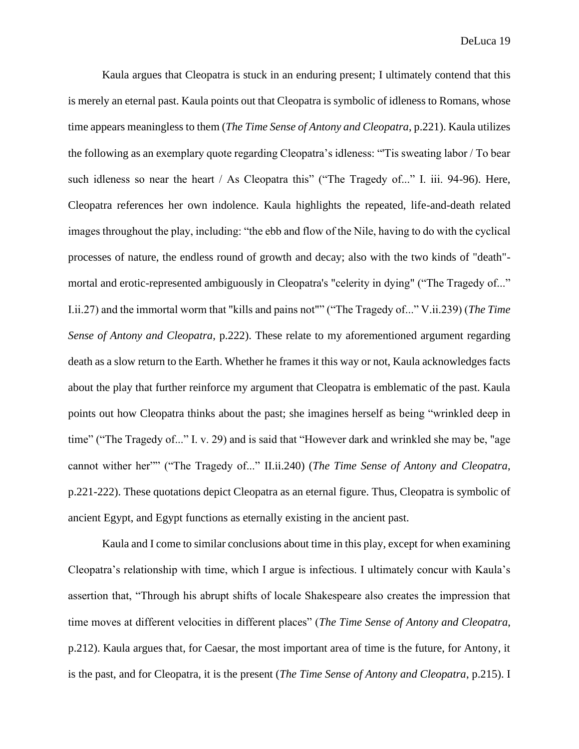Kaula argues that Cleopatra is stuck in an enduring present; I ultimately contend that this is merely an eternal past. Kaula points out that Cleopatra is symbolic of idleness to Romans, whose time appears meaningless to them (*The Time Sense of Antony and Cleopatra*, p.221). Kaula utilizes the following as an exemplary quote regarding Cleopatra's idleness: "'Tis sweating labor / To bear such idleness so near the heart / As Cleopatra this" ("The Tragedy of..." I. iii. 94-96). Here, Cleopatra references her own indolence. Kaula highlights the repeated, life-and-death related images throughout the play, including: "the ebb and flow of the Nile, having to do with the cyclical processes of nature, the endless round of growth and decay; also with the two kinds of "death" mortal and erotic-represented ambiguously in Cleopatra's "celerity in dying" ("The Tragedy of..." I.ii.27) and the immortal worm that "kills and pains not"" ("The Tragedy of..." V.ii.239) (*The Time Sense of Antony and Cleopatra*, p.222). These relate to my aforementioned argument regarding death as a slow return to the Earth. Whether he frames it this way or not, Kaula acknowledges facts about the play that further reinforce my argument that Cleopatra is emblematic of the past. Kaula points out how Cleopatra thinks about the past; she imagines herself as being "wrinkled deep in time" ("The Tragedy of..." I. v. 29) and is said that "However dark and wrinkled she may be, "age cannot wither her"" ("The Tragedy of..." II.ii.240) (*The Time Sense of Antony and Cleopatra*, p.221-222). These quotations depict Cleopatra as an eternal figure. Thus, Cleopatra is symbolic of ancient Egypt, and Egypt functions as eternally existing in the ancient past.

Kaula and I come to similar conclusions about time in this play, except for when examining Cleopatra's relationship with time, which I argue is infectious. I ultimately concur with Kaula's assertion that, "Through his abrupt shifts of locale Shakespeare also creates the impression that time moves at different velocities in different places" (*The Time Sense of Antony and Cleopatra*, p.212). Kaula argues that, for Caesar, the most important area of time is the future, for Antony, it is the past, and for Cleopatra, it is the present (*The Time Sense of Antony and Cleopatra*, p.215). I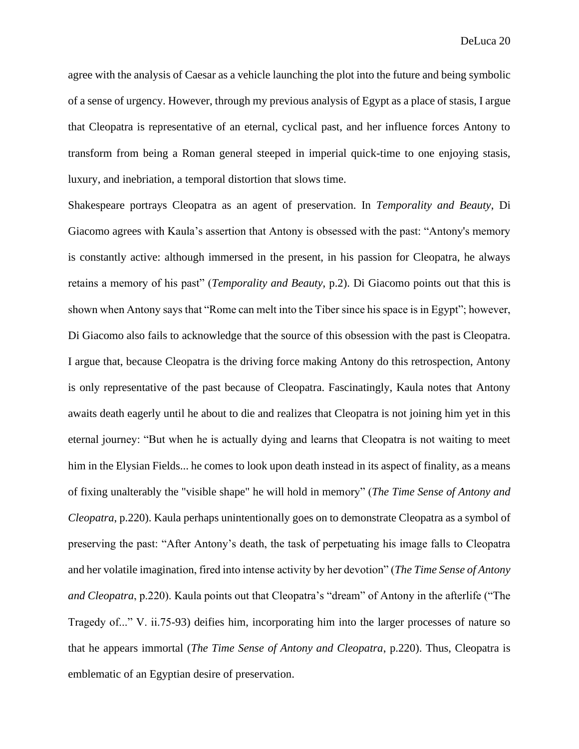agree with the analysis of Caesar as a vehicle launching the plot into the future and being symbolic of a sense of urgency. However, through my previous analysis of Egypt as a place of stasis, I argue that Cleopatra is representative of an eternal, cyclical past, and her influence forces Antony to transform from being a Roman general steeped in imperial quick-time to one enjoying stasis, luxury, and inebriation, a temporal distortion that slows time.

Shakespeare portrays Cleopatra as an agent of preservation. In *Temporality and Beauty*, Di Giacomo agrees with Kaula's assertion that Antony is obsessed with the past: "Antony's memory is constantly active: although immersed in the present, in his passion for Cleopatra, he always retains a memory of his past" (*Temporality and Beauty*, p.2). Di Giacomo points out that this is shown when Antony says that "Rome can melt into the Tiber since his space is in Egypt"; however, Di Giacomo also fails to acknowledge that the source of this obsession with the past is Cleopatra. I argue that, because Cleopatra is the driving force making Antony do this retrospection, Antony is only representative of the past because of Cleopatra. Fascinatingly, Kaula notes that Antony awaits death eagerly until he about to die and realizes that Cleopatra is not joining him yet in this eternal journey: "But when he is actually dying and learns that Cleopatra is not waiting to meet him in the Elysian Fields... he comes to look upon death instead in its aspect of finality, as a means of fixing unalterably the "visible shape" he will hold in memory" (*The Time Sense of Antony and Cleopatra*, p.220). Kaula perhaps unintentionally goes on to demonstrate Cleopatra as a symbol of preserving the past: "After Antony's death, the task of perpetuating his image falls to Cleopatra and her volatile imagination, fired into intense activity by her devotion" (*The Time Sense of Antony and Cleopatra*, p.220). Kaula points out that Cleopatra's "dream" of Antony in the afterlife ("The Tragedy of..." V. ii.75-93) deifies him, incorporating him into the larger processes of nature so that he appears immortal (*The Time Sense of Antony and Cleopatra*, p.220). Thus, Cleopatra is emblematic of an Egyptian desire of preservation.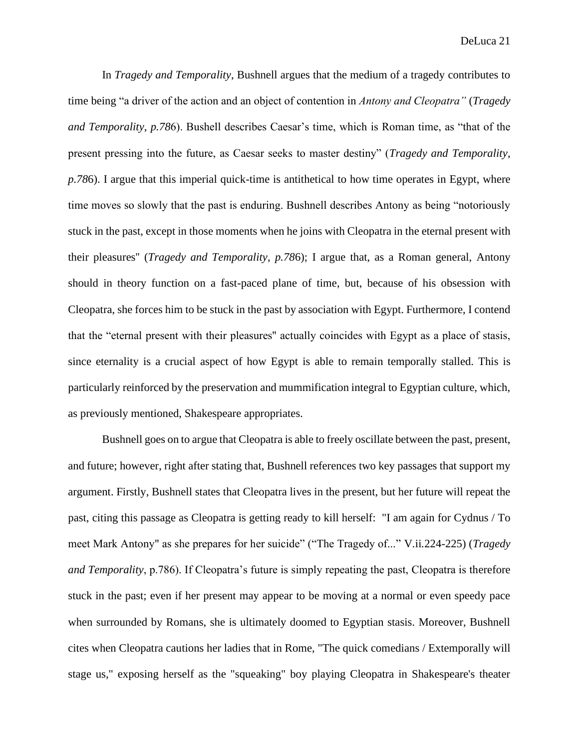In *Tragedy and Temporality*, Bushnell argues that the medium of a tragedy contributes to time being "a driver of the action and an object of contention in *Antony and Cleopatra"* (*Tragedy and Temporality*, *p.78*6). Bushell describes Caesar's time, which is Roman time, as "that of the present pressing into the future, as Caesar seeks to master destiny" (*Tragedy and Temporality*, *p.78*6). I argue that this imperial quick-time is antithetical to how time operates in Egypt, where time moves so slowly that the past is enduring. Bushnell describes Antony as being "notoriously stuck in the past, except in those moments when he joins with Cleopatra in the eternal present with their pleasures'' (*Tragedy and Temporality*, *p.78*6); I argue that, as a Roman general, Antony should in theory function on a fast-paced plane of time, but, because of his obsession with Cleopatra, she forces him to be stuck in the past by association with Egypt. Furthermore, I contend that the "eternal present with their pleasures'' actually coincides with Egypt as a place of stasis, since eternality is a crucial aspect of how Egypt is able to remain temporally stalled. This is particularly reinforced by the preservation and mummification integral to Egyptian culture, which, as previously mentioned, Shakespeare appropriates.

Bushnell goes on to argue that Cleopatra is able to freely oscillate between the past, present, and future; however, right after stating that, Bushnell references two key passages that support my argument. Firstly, Bushnell states that Cleopatra lives in the present, but her future will repeat the past, citing this passage as Cleopatra is getting ready to kill herself: "I am again for Cydnus / To meet Mark Antony" as she prepares for her suicide" ("The Tragedy of..." V*.*ii*.*224-225) (*Tragedy and Temporality*, p.786). If Cleopatra's future is simply repeating the past, Cleopatra is therefore stuck in the past; even if her present may appear to be moving at a normal or even speedy pace when surrounded by Romans, she is ultimately doomed to Egyptian stasis. Moreover, Bushnell cites when Cleopatra cautions her ladies that in Rome, "The quick comedians / Extemporally will stage us," exposing herself as the "squeaking" boy playing Cleopatra in Shakespeare's theater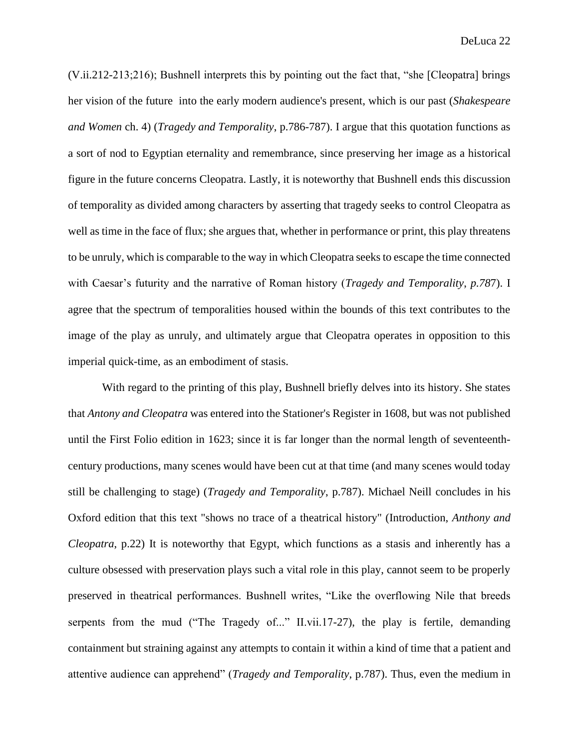(V.ii.212-213;216); Bushnell interprets this by pointing out the fact that, "she [Cleopatra] brings her vision of the future into the early modern audience's present, which is our past (*Shakespeare and Women* ch. 4) (*Tragedy and Temporality*, p.786-787). I argue that this quotation functions as a sort of nod to Egyptian eternality and remembrance, since preserving her image as a historical figure in the future concerns Cleopatra. Lastly, it is noteworthy that Bushnell ends this discussion of temporality as divided among characters by asserting that tragedy seeks to control Cleopatra as well as time in the face of flux; she argues that, whether in performance or print, this play threatens to be unruly, which is comparable to the way in which Cleopatra seeks to escape the time connected with Caesar's futurity and the narrative of Roman history (*Tragedy and Temporality*, *p.78*7). I agree that the spectrum of temporalities housed within the bounds of this text contributes to the image of the play as unruly, and ultimately argue that Cleopatra operates in opposition to this imperial quick-time, as an embodiment of stasis.

With regard to the printing of this play, Bushnell briefly delves into its history. She states that *Antony and Cleopatra* was entered into the Stationer's Register in 1608, but was not published until the First Folio edition in 1623; since it is far longer than the normal length of seventeenthcentury productions, many scenes would have been cut at that time (and many scenes would today still be challenging to stage) (*Tragedy and Temporality*, p.787). Michael Neill concludes in his Oxford edition that this text "shows no trace of a theatrical history" (Introduction, *Anthony and Cleopatra*, p.22) It is noteworthy that Egypt, which functions as a stasis and inherently has a culture obsessed with preservation plays such a vital role in this play, cannot seem to be properly preserved in theatrical performances. Bushnell writes, "Like the overflowing Nile that breeds serpents from the mud ("The Tragedy of..." II.vii.17-27), the play is fertile, demanding containment but straining against any attempts to contain it within a kind of time that a patient and attentive audience can apprehend" (*Tragedy and Temporality*, p.787). Thus, even the medium in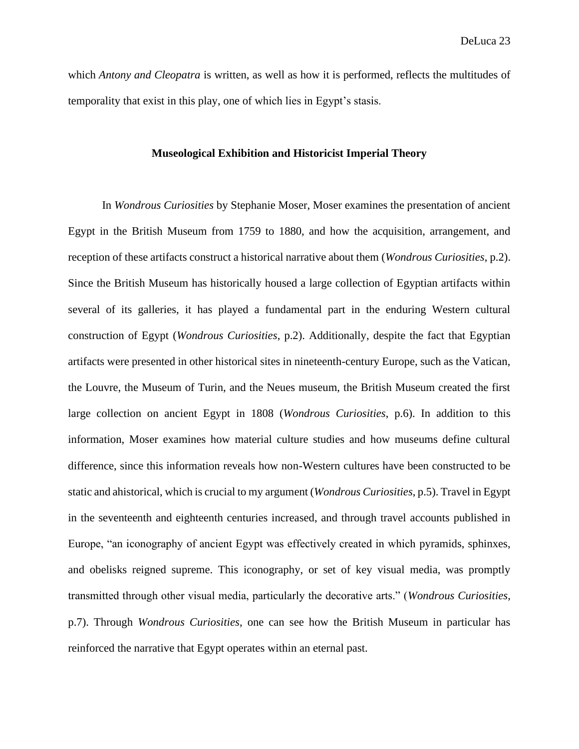which *Antony and Cleopatra* is written, as well as how it is performed, reflects the multitudes of temporality that exist in this play, one of which lies in Egypt's stasis.

## **Museological Exhibition and Historicist Imperial Theory**

In *Wondrous Curiosities* by Stephanie Moser, Moser examines the presentation of ancient Egypt in the British Museum from 1759 to 1880, and how the acquisition, arrangement, and reception of these artifacts construct a historical narrative about them (*Wondrous Curiosities*, p.2). Since the British Museum has historically housed a large collection of Egyptian artifacts within several of its galleries, it has played a fundamental part in the enduring Western cultural construction of Egypt (*Wondrous Curiosities*, p.2). Additionally, despite the fact that Egyptian artifacts were presented in other historical sites in nineteenth-century Europe, such as the Vatican, the Louvre, the Museum of Turin, and the Neues museum, the British Museum created the first large collection on ancient Egypt in 1808 (*Wondrous Curiosities*, p.6). In addition to this information, Moser examines how material culture studies and how museums define cultural difference, since this information reveals how non-Western cultures have been constructed to be static and ahistorical, which is crucial to my argument (*Wondrous Curiosities*, p.5). Travel in Egypt in the seventeenth and eighteenth centuries increased, and through travel accounts published in Europe, "an iconography of ancient Egypt was effectively created in which pyramids, sphinxes, and obelisks reigned supreme. This iconography, or set of key visual media, was promptly transmitted through other visual media, particularly the decorative arts." (*Wondrous Curiosities*, p.7). Through *Wondrous Curiosities*, one can see how the British Museum in particular has reinforced the narrative that Egypt operates within an eternal past.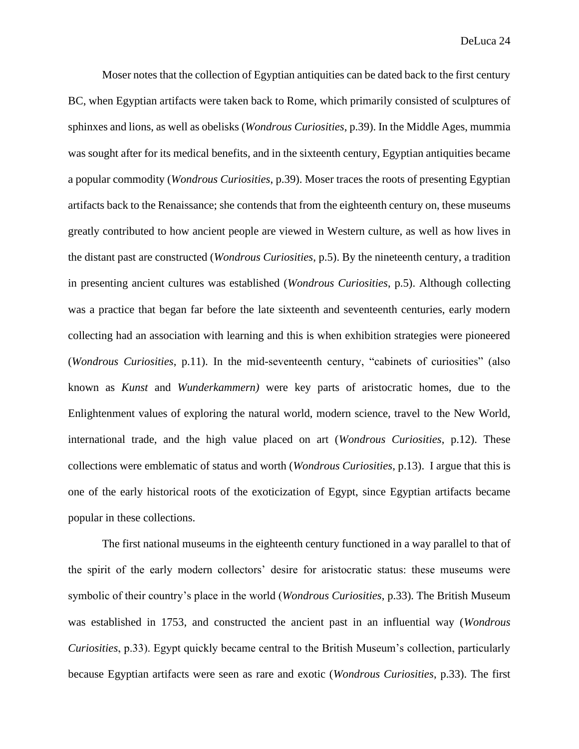Moser notes that the collection of Egyptian antiquities can be dated back to the first century BC, when Egyptian artifacts were taken back to Rome, which primarily consisted of sculptures of sphinxes and lions, as well as obelisks (*Wondrous Curiosities*, p.39). In the Middle Ages, mummia was sought after for its medical benefits, and in the sixteenth century, Egyptian antiquities became a popular commodity (*Wondrous Curiosities*, p.39). Moser traces the roots of presenting Egyptian artifacts back to the Renaissance; she contends that from the eighteenth century on, these museums greatly contributed to how ancient people are viewed in Western culture, as well as how lives in the distant past are constructed (*Wondrous Curiosities*, p.5). By the nineteenth century, a tradition in presenting ancient cultures was established (*Wondrous Curiosities*, p.5). Although collecting was a practice that began far before the late sixteenth and seventeenth centuries, early modern collecting had an association with learning and this is when exhibition strategies were pioneered (*Wondrous Curiosities*, p.11). In the mid-seventeenth century, "cabinets of curiosities" (also known as *Kunst* and *Wunderkammern)* were key parts of aristocratic homes, due to the Enlightenment values of exploring the natural world, modern science, travel to the New World, international trade, and the high value placed on art (*Wondrous Curiosities*, p.12). These collections were emblematic of status and worth (*Wondrous Curiosities*, p.13). I argue that this is one of the early historical roots of the exoticization of Egypt, since Egyptian artifacts became popular in these collections.

The first national museums in the eighteenth century functioned in a way parallel to that of the spirit of the early modern collectors' desire for aristocratic status: these museums were symbolic of their country's place in the world (*Wondrous Curiosities*, p.33). The British Museum was established in 1753, and constructed the ancient past in an influential way (*Wondrous Curiosities*, p.33). Egypt quickly became central to the British Museum's collection, particularly because Egyptian artifacts were seen as rare and exotic (*Wondrous Curiosities*, p.33). The first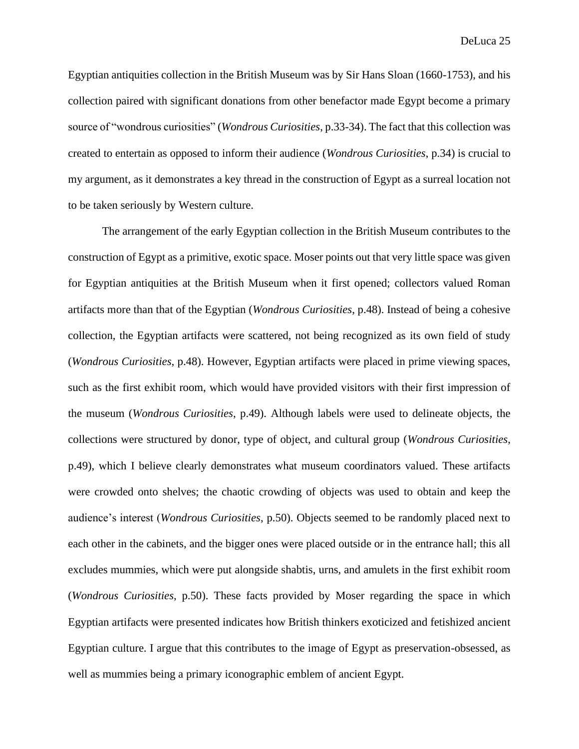Egyptian antiquities collection in the British Museum was by Sir Hans Sloan (1660-1753), and his collection paired with significant donations from other benefactor made Egypt become a primary source of "wondrous curiosities" (*Wondrous Curiosities*, p.33-34). The fact that this collection was created to entertain as opposed to inform their audience (*Wondrous Curiosities*, p.34) is crucial to my argument, as it demonstrates a key thread in the construction of Egypt as a surreal location not to be taken seriously by Western culture.

The arrangement of the early Egyptian collection in the British Museum contributes to the construction of Egypt as a primitive, exotic space. Moser points out that very little space was given for Egyptian antiquities at the British Museum when it first opened; collectors valued Roman artifacts more than that of the Egyptian (*Wondrous Curiosities*, p.48). Instead of being a cohesive collection, the Egyptian artifacts were scattered, not being recognized as its own field of study (*Wondrous Curiosities*, p.48). However, Egyptian artifacts were placed in prime viewing spaces, such as the first exhibit room, which would have provided visitors with their first impression of the museum (*Wondrous Curiosities*, p.49). Although labels were used to delineate objects, the collections were structured by donor, type of object, and cultural group (*Wondrous Curiosities*, p.49), which I believe clearly demonstrates what museum coordinators valued. These artifacts were crowded onto shelves; the chaotic crowding of objects was used to obtain and keep the audience's interest (*Wondrous Curiosities*, p.50). Objects seemed to be randomly placed next to each other in the cabinets, and the bigger ones were placed outside or in the entrance hall; this all excludes mummies, which were put alongside shabtis, urns, and amulets in the first exhibit room (*Wondrous Curiosities*, p.50). These facts provided by Moser regarding the space in which Egyptian artifacts were presented indicates how British thinkers exoticized and fetishized ancient Egyptian culture. I argue that this contributes to the image of Egypt as preservation-obsessed, as well as mummies being a primary iconographic emblem of ancient Egypt.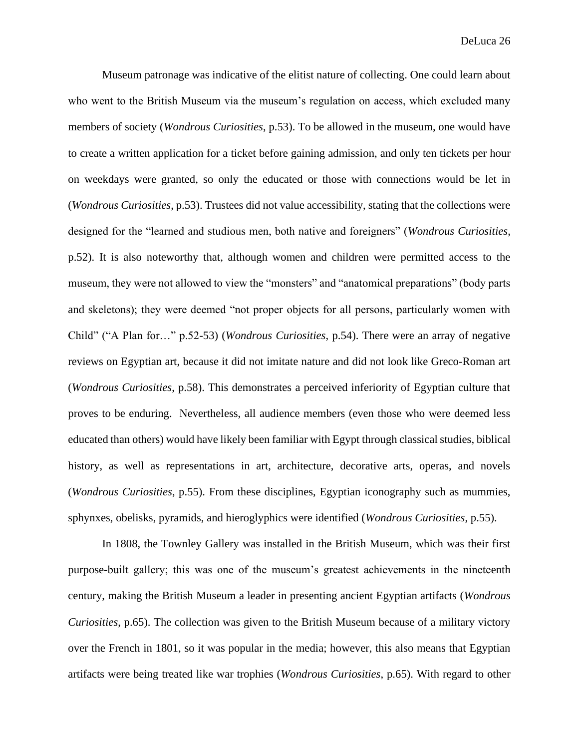Museum patronage was indicative of the elitist nature of collecting. One could learn about who went to the British Museum via the museum's regulation on access, which excluded many members of society (*Wondrous Curiosities*, p.53). To be allowed in the museum, one would have to create a written application for a ticket before gaining admission, and only ten tickets per hour on weekdays were granted, so only the educated or those with connections would be let in (*Wondrous Curiosities*, p.53). Trustees did not value accessibility, stating that the collections were designed for the "learned and studious men, both native and foreigners" (*Wondrous Curiosities*, p.52). It is also noteworthy that, although women and children were permitted access to the museum, they were not allowed to view the "monsters" and "anatomical preparations" (body parts and skeletons); they were deemed "not proper objects for all persons, particularly women with Child" ("A Plan for…" p.52-53) (*Wondrous Curiosities*, p.54). There were an array of negative reviews on Egyptian art, because it did not imitate nature and did not look like Greco-Roman art (*Wondrous Curiosities*, p.58). This demonstrates a perceived inferiority of Egyptian culture that proves to be enduring. Nevertheless, all audience members (even those who were deemed less educated than others) would have likely been familiar with Egypt through classical studies, biblical history, as well as representations in art, architecture, decorative arts, operas, and novels (*Wondrous Curiosities*, p.55). From these disciplines, Egyptian iconography such as mummies, sphynxes, obelisks, pyramids, and hieroglyphics were identified (*Wondrous Curiosities*, p.55).

In 1808, the Townley Gallery was installed in the British Museum, which was their first purpose-built gallery; this was one of the museum's greatest achievements in the nineteenth century, making the British Museum a leader in presenting ancient Egyptian artifacts (*Wondrous Curiosities*, p.65). The collection was given to the British Museum because of a military victory over the French in 1801, so it was popular in the media; however, this also means that Egyptian artifacts were being treated like war trophies (*Wondrous Curiosities*, p.65). With regard to other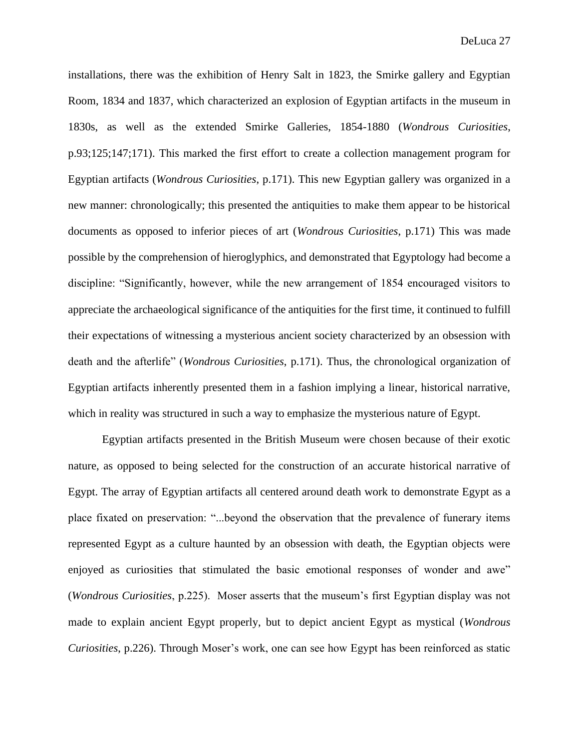installations, there was the exhibition of Henry Salt in 1823, the Smirke gallery and Egyptian Room, 1834 and 1837, which characterized an explosion of Egyptian artifacts in the museum in 1830s, as well as the extended Smirke Galleries, 1854-1880 (*Wondrous Curiosities*, p.93;125;147;171). This marked the first effort to create a collection management program for Egyptian artifacts (*Wondrous Curiosities*, p.171). This new Egyptian gallery was organized in a new manner: chronologically; this presented the antiquities to make them appear to be historical documents as opposed to inferior pieces of art (*Wondrous Curiosities*, p.171) This was made possible by the comprehension of hieroglyphics, and demonstrated that Egyptology had become a discipline: "Significantly, however, while the new arrangement of 1854 encouraged visitors to appreciate the archaeological significance of the antiquities for the first time, it continued to fulfill their expectations of witnessing a mysterious ancient society characterized by an obsession with death and the afterlife" (*Wondrous Curiosities*, p.171). Thus, the chronological organization of Egyptian artifacts inherently presented them in a fashion implying a linear, historical narrative, which in reality was structured in such a way to emphasize the mysterious nature of Egypt.

Egyptian artifacts presented in the British Museum were chosen because of their exotic nature, as opposed to being selected for the construction of an accurate historical narrative of Egypt. The array of Egyptian artifacts all centered around death work to demonstrate Egypt as a place fixated on preservation: "...beyond the observation that the prevalence of funerary items represented Egypt as a culture haunted by an obsession with death, the Egyptian objects were enjoyed as curiosities that stimulated the basic emotional responses of wonder and awe" (*Wondrous Curiosities*, p.225). Moser asserts that the museum's first Egyptian display was not made to explain ancient Egypt properly, but to depict ancient Egypt as mystical (*Wondrous Curiosities*, p.226). Through Moser's work, one can see how Egypt has been reinforced as static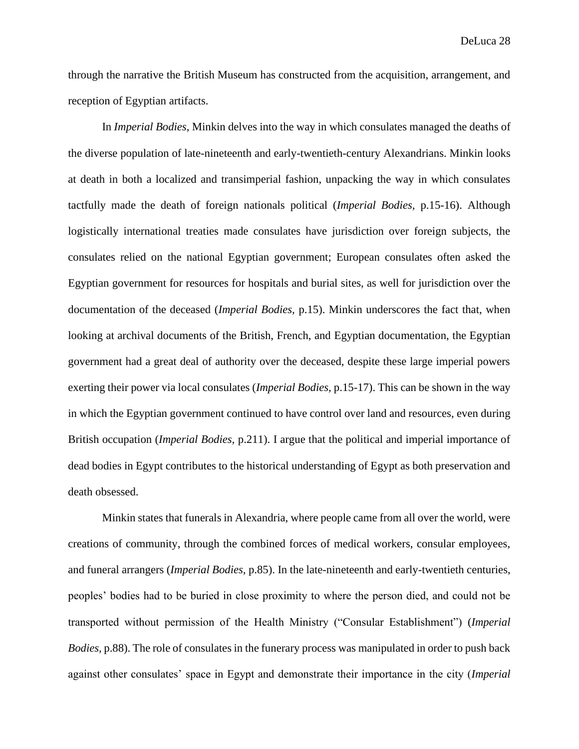through the narrative the British Museum has constructed from the acquisition, arrangement, and reception of Egyptian artifacts.

In *Imperial Bodies*, Minkin delves into the way in which consulates managed the deaths of the diverse population of late-nineteenth and early-twentieth-century Alexandrians. Minkin looks at death in both a localized and transimperial fashion, unpacking the way in which consulates tactfully made the death of foreign nationals political (*Imperial Bodies,* p.15-16). Although logistically international treaties made consulates have jurisdiction over foreign subjects, the consulates relied on the national Egyptian government; European consulates often asked the Egyptian government for resources for hospitals and burial sites, as well for jurisdiction over the documentation of the deceased (*Imperial Bodies,* p.15). Minkin underscores the fact that, when looking at archival documents of the British, French, and Egyptian documentation, the Egyptian government had a great deal of authority over the deceased, despite these large imperial powers exerting their power via local consulates (*Imperial Bodies,* p.15-17). This can be shown in the way in which the Egyptian government continued to have control over land and resources, even during British occupation (*Imperial Bodies,* p.211). I argue that the political and imperial importance of dead bodies in Egypt contributes to the historical understanding of Egypt as both preservation and death obsessed.

Minkin states that funerals in Alexandria, where people came from all over the world, were creations of community, through the combined forces of medical workers, consular employees, and funeral arrangers (*Imperial Bodies,* p.85). In the late-nineteenth and early-twentieth centuries, peoples' bodies had to be buried in close proximity to where the person died, and could not be transported without permission of the Health Ministry ("Consular Establishment") (*Imperial Bodies,* p.88). The role of consulates in the funerary process was manipulated in order to push back against other consulates' space in Egypt and demonstrate their importance in the city (*Imperial*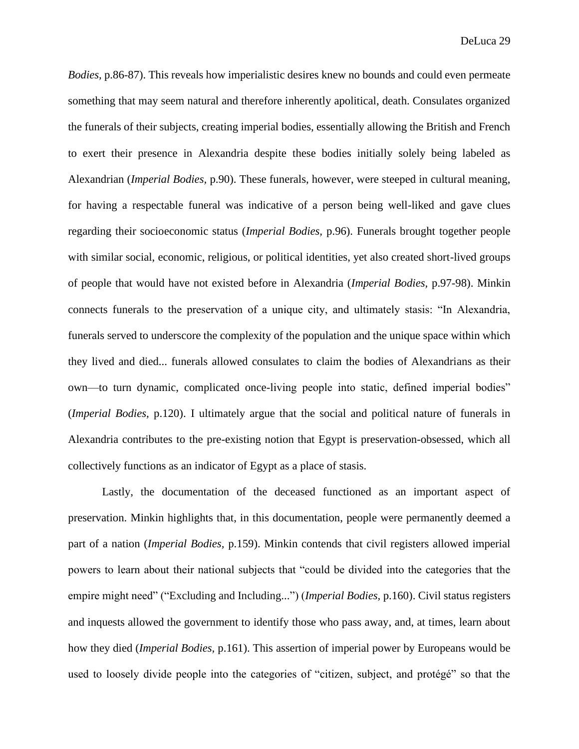*Bodies,* p.86-87). This reveals how imperialistic desires knew no bounds and could even permeate something that may seem natural and therefore inherently apolitical, death. Consulates organized the funerals of their subjects, creating imperial bodies, essentially allowing the British and French to exert their presence in Alexandria despite these bodies initially solely being labeled as Alexandrian (*Imperial Bodies,* p.90). These funerals, however, were steeped in cultural meaning, for having a respectable funeral was indicative of a person being well-liked and gave clues regarding their socioeconomic status (*Imperial Bodies,* p.96). Funerals brought together people with similar social, economic, religious, or political identities, yet also created short-lived groups of people that would have not existed before in Alexandria (*Imperial Bodies,* p.97-98). Minkin connects funerals to the preservation of a unique city, and ultimately stasis: "In Alexandria, funerals served to underscore the complexity of the population and the unique space within which they lived and died... funerals allowed consulates to claim the bodies of Alexandrians as their own—to turn dynamic, complicated once-living people into static, defined imperial bodies" (*Imperial Bodies,* p.120). I ultimately argue that the social and political nature of funerals in Alexandria contributes to the pre-existing notion that Egypt is preservation-obsessed, which all collectively functions as an indicator of Egypt as a place of stasis.

Lastly, the documentation of the deceased functioned as an important aspect of preservation. Minkin highlights that, in this documentation, people were permanently deemed a part of a nation (*Imperial Bodies,* p.159). Minkin contends that civil registers allowed imperial powers to learn about their national subjects that "could be divided into the categories that the empire might need" ("Excluding and Including...") (*Imperial Bodies,* p.160). Civil status registers and inquests allowed the government to identify those who pass away, and, at times, learn about how they died (*Imperial Bodies,* p.161). This assertion of imperial power by Europeans would be used to loosely divide people into the categories of "citizen, subject, and protégé" so that the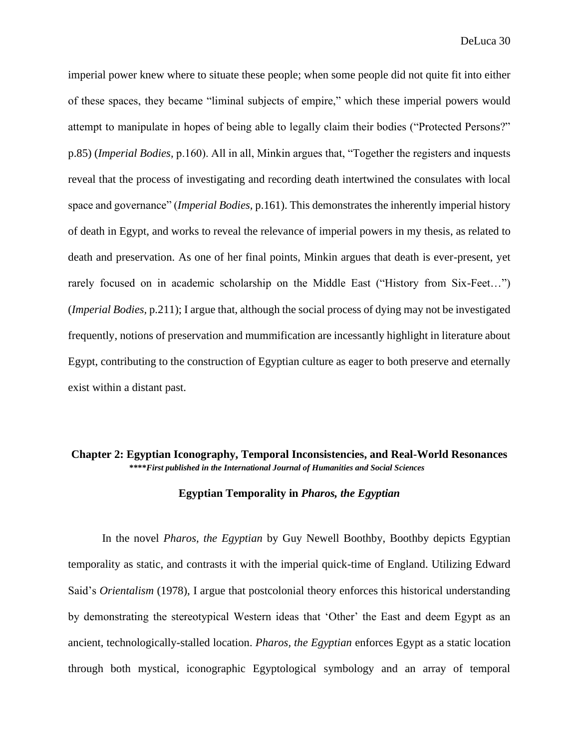imperial power knew where to situate these people; when some people did not quite fit into either of these spaces, they became "liminal subjects of empire," which these imperial powers would attempt to manipulate in hopes of being able to legally claim their bodies ("Protected Persons?" p.85) (*Imperial Bodies,* p.160). All in all, Minkin argues that, "Together the registers and inquests reveal that the process of investigating and recording death intertwined the consulates with local space and governance" (*Imperial Bodies,* p.161). This demonstrates the inherently imperial history of death in Egypt, and works to reveal the relevance of imperial powers in my thesis, as related to death and preservation. As one of her final points, Minkin argues that death is ever-present, yet rarely focused on in academic scholarship on the Middle East ("History from Six-Feet…") (*Imperial Bodies,* p.211); I argue that, although the social process of dying may not be investigated frequently, notions of preservation and mummification are incessantly highlight in literature about Egypt, contributing to the construction of Egyptian culture as eager to both preserve and eternally exist within a distant past.

## **Chapter 2: Egyptian Iconography, Temporal Inconsistencies, and Real-World Resonances \*\*\*\****First published in the International Journal of Humanities and Social Sciences*

## **Egyptian Temporality in** *Pharos, the Egyptian*

In the novel *Pharos, the Egyptian* by Guy Newell Boothby, Boothby depicts Egyptian temporality as static, and contrasts it with the imperial quick-time of England. Utilizing Edward Said's *Orientalism* (1978), I argue that postcolonial theory enforces this historical understanding by demonstrating the stereotypical Western ideas that 'Other' the East and deem Egypt as an ancient, technologically-stalled location. *Pharos, the Egyptian* enforces Egypt as a static location through both mystical, iconographic Egyptological symbology and an array of temporal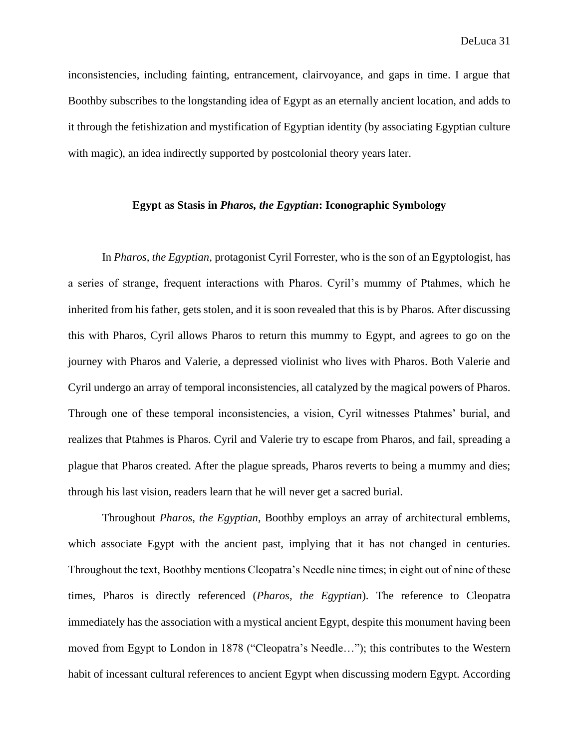inconsistencies, including fainting, entrancement, clairvoyance, and gaps in time. I argue that Boothby subscribes to the longstanding idea of Egypt as an eternally ancient location, and adds to it through the fetishization and mystification of Egyptian identity (by associating Egyptian culture with magic), an idea indirectly supported by postcolonial theory years later.

## **Egypt as Stasis in** *Pharos, the Egyptian***: Iconographic Symbology**

In *Pharos, the Egyptian,* protagonist Cyril Forrester, who is the son of an Egyptologist, has a series of strange, frequent interactions with Pharos. Cyril's mummy of Ptahmes, which he inherited from his father, gets stolen, and it is soon revealed that this is by Pharos. After discussing this with Pharos, Cyril allows Pharos to return this mummy to Egypt, and agrees to go on the journey with Pharos and Valerie, a depressed violinist who lives with Pharos. Both Valerie and Cyril undergo an array of temporal inconsistencies, all catalyzed by the magical powers of Pharos. Through one of these temporal inconsistencies, a vision, Cyril witnesses Ptahmes' burial, and realizes that Ptahmes is Pharos. Cyril and Valerie try to escape from Pharos, and fail, spreading a plague that Pharos created. After the plague spreads, Pharos reverts to being a mummy and dies; through his last vision, readers learn that he will never get a sacred burial.

Throughout *Pharos, the Egyptian*, Boothby employs an array of architectural emblems, which associate Egypt with the ancient past, implying that it has not changed in centuries. Throughout the text, Boothby mentions Cleopatra's Needle nine times; in eight out of nine of these times, Pharos is directly referenced (*Pharos, the Egyptian*). The reference to Cleopatra immediately has the association with a mystical ancient Egypt, despite this monument having been moved from Egypt to London in 1878 ("Cleopatra's Needle…"); this contributes to the Western habit of incessant cultural references to ancient Egypt when discussing modern Egypt. According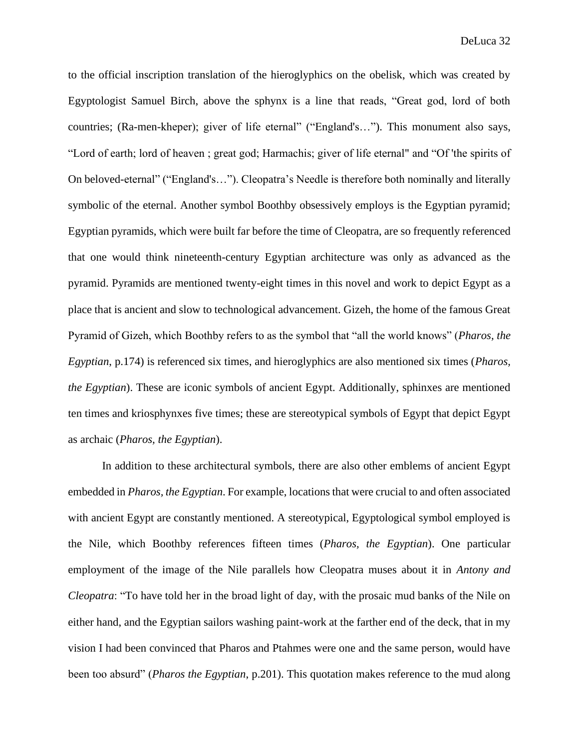to the official inscription translation of the hieroglyphics on the obelisk, which was created by Egyptologist Samuel Birch, above the sphynx is a line that reads, "Great god, lord of both countries; (Ra-men-kheper); giver of life eternal" ("England's…"). This monument also says, "Lord of earth; lord of heaven ; great god; Harmachis; giver of life eternal" and "Of 'the spirits of On beloved-eternal" ("England's…"). Cleopatra's Needle is therefore both nominally and literally symbolic of the eternal. Another symbol Boothby obsessively employs is the Egyptian pyramid; Egyptian pyramids, which were built far before the time of Cleopatra, are so frequently referenced that one would think nineteenth-century Egyptian architecture was only as advanced as the pyramid. Pyramids are mentioned twenty-eight times in this novel and work to depict Egypt as a place that is ancient and slow to technological advancement. Gizeh, the home of the famous Great Pyramid of Gizeh, which Boothby refers to as the symbol that "all the world knows" (*Pharos, the Egyptian*, p.174) is referenced six times, and hieroglyphics are also mentioned six times (*Pharos, the Egyptian*). These are iconic symbols of ancient Egypt. Additionally, sphinxes are mentioned ten times and kriosphynxes five times; these are stereotypical symbols of Egypt that depict Egypt as archaic (*Pharos, the Egyptian*).

In addition to these architectural symbols, there are also other emblems of ancient Egypt embedded in *Pharos, the Egyptian*. For example, locations that were crucial to and often associated with ancient Egypt are constantly mentioned. A stereotypical, Egyptological symbol employed is the Nile, which Boothby references fifteen times (*Pharos, the Egyptian*). One particular employment of the image of the Nile parallels how Cleopatra muses about it in *Antony and Cleopatra*: "To have told her in the broad light of day, with the prosaic mud banks of the Nile on either hand, and the Egyptian sailors washing paint-work at the farther end of the deck, that in my vision I had been convinced that Pharos and Ptahmes were one and the same person, would have been too absurd" (*Pharos the Egyptian*, p.201). This quotation makes reference to the mud along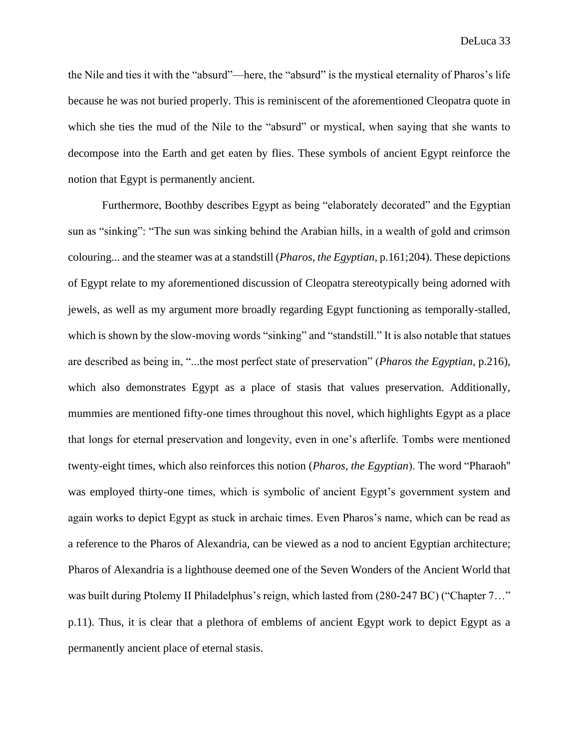the Nile and ties it with the "absurd"—here, the "absurd" is the mystical eternality of Pharos's life because he was not buried properly. This is reminiscent of the aforementioned Cleopatra quote in which she ties the mud of the Nile to the "absurd" or mystical, when saying that she wants to decompose into the Earth and get eaten by flies. These symbols of ancient Egypt reinforce the notion that Egypt is permanently ancient.

Furthermore, Boothby describes Egypt as being "elaborately decorated" and the Egyptian sun as "sinking": "The sun was sinking behind the Arabian hills, in a wealth of gold and crimson colouring... and the steamer was at a standstill (*Pharos, the Egyptian*, p.161;204). These depictions of Egypt relate to my aforementioned discussion of Cleopatra stereotypically being adorned with jewels, as well as my argument more broadly regarding Egypt functioning as temporally-stalled, which is shown by the slow-moving words "sinking" and "standstill." It is also notable that statues are described as being in, "...the most perfect state of preservation" (*Pharos the Egyptian*, p.216), which also demonstrates Egypt as a place of stasis that values preservation. Additionally, mummies are mentioned fifty-one times throughout this novel, which highlights Egypt as a place that longs for eternal preservation and longevity, even in one's afterlife. Tombs were mentioned twenty-eight times, which also reinforces this notion (*Pharos, the Egyptian*). The word "Pharaoh'' was employed thirty-one times, which is symbolic of ancient Egypt's government system and again works to depict Egypt as stuck in archaic times. Even Pharos's name, which can be read as a reference to the Pharos of Alexandria, can be viewed as a nod to ancient Egyptian architecture; Pharos of Alexandria is a lighthouse deemed one of the Seven Wonders of the Ancient World that was built during Ptolemy II Philadelphus's reign, which lasted from (280-247 BC) ("Chapter 7..." p.11). Thus, it is clear that a plethora of emblems of ancient Egypt work to depict Egypt as a permanently ancient place of eternal stasis.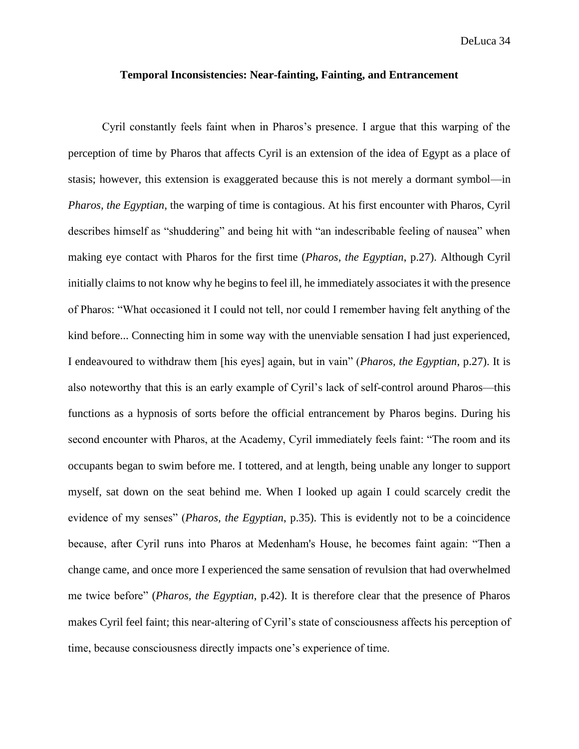#### **Temporal Inconsistencies: Near-fainting, Fainting, and Entrancement**

Cyril constantly feels faint when in Pharos's presence. I argue that this warping of the perception of time by Pharos that affects Cyril is an extension of the idea of Egypt as a place of stasis; however, this extension is exaggerated because this is not merely a dormant symbol—in *Pharos, the Egyptian*, the warping of time is contagious. At his first encounter with Pharos, Cyril describes himself as "shuddering" and being hit with "an indescribable feeling of nausea" when making eye contact with Pharos for the first time (*Pharos, the Egyptian*, p.27). Although Cyril initially claims to not know why he begins to feel ill, he immediately associates it with the presence of Pharos: "What occasioned it I could not tell, nor could I remember having felt anything of the kind before... Connecting him in some way with the unenviable sensation I had just experienced, I endeavoured to withdraw them [his eyes] again, but in vain" (*Pharos, the Egyptian*, p.27). It is also noteworthy that this is an early example of Cyril's lack of self-control around Pharos—this functions as a hypnosis of sorts before the official entrancement by Pharos begins. During his second encounter with Pharos, at the Academy, Cyril immediately feels faint: "The room and its occupants began to swim before me. I tottered, and at length, being unable any longer to support myself, sat down on the seat behind me. When I looked up again I could scarcely credit the evidence of my senses" (*Pharos, the Egyptian*, p.35). This is evidently not to be a coincidence because, after Cyril runs into Pharos at Medenham's House, he becomes faint again: "Then a change came, and once more I experienced the same sensation of revulsion that had overwhelmed me twice before" (*Pharos, the Egyptian*, p.42). It is therefore clear that the presence of Pharos makes Cyril feel faint; this near-altering of Cyril's state of consciousness affects his perception of time, because consciousness directly impacts one's experience of time.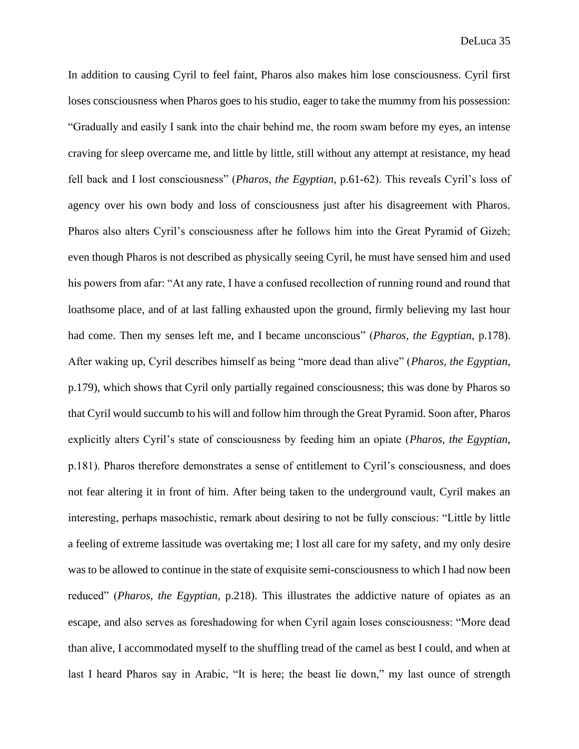In addition to causing Cyril to feel faint, Pharos also makes him lose consciousness. Cyril first loses consciousness when Pharos goes to his studio, eager to take the mummy from his possession: "Gradually and easily I sank into the chair behind me, the room swam before my eyes, an intense craving for sleep overcame me, and little by little, still without any attempt at resistance, my head fell back and I lost consciousness" (*Pharos, the Egyptian*, p.61-62). This reveals Cyril's loss of agency over his own body and loss of consciousness just after his disagreement with Pharos. Pharos also alters Cyril's consciousness after he follows him into the Great Pyramid of Gizeh; even though Pharos is not described as physically seeing Cyril, he must have sensed him and used his powers from afar: "At any rate, I have a confused recollection of running round and round that loathsome place, and of at last falling exhausted upon the ground, firmly believing my last hour had come. Then my senses left me, and I became unconscious" (*Pharos, the Egyptian*, p.178). After waking up, Cyril describes himself as being "more dead than alive" (*Pharos, the Egyptian*, p.179), which shows that Cyril only partially regained consciousness; this was done by Pharos so that Cyril would succumb to his will and follow him through the Great Pyramid. Soon after, Pharos explicitly alters Cyril's state of consciousness by feeding him an opiate (*Pharos, the Egyptian*, p.181). Pharos therefore demonstrates a sense of entitlement to Cyril's consciousness, and does not fear altering it in front of him. After being taken to the underground vault, Cyril makes an interesting, perhaps masochistic, remark about desiring to not be fully conscious: "Little by little a feeling of extreme lassitude was overtaking me; I lost all care for my safety, and my only desire was to be allowed to continue in the state of exquisite semi-consciousness to which I had now been reduced" (*Pharos, the Egyptian*, p.218). This illustrates the addictive nature of opiates as an escape, and also serves as foreshadowing for when Cyril again loses consciousness: "More dead than alive, I accommodated myself to the shuffling tread of the camel as best I could, and when at last I heard Pharos say in Arabic, "It is here; the beast lie down," my last ounce of strength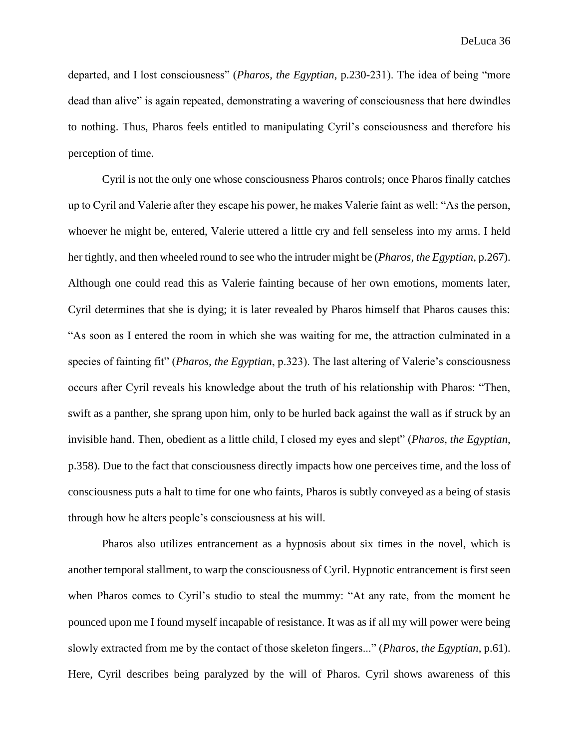departed, and I lost consciousness" (*Pharos, the Egyptian*, p.230-231). The idea of being "more dead than alive" is again repeated, demonstrating a wavering of consciousness that here dwindles to nothing. Thus, Pharos feels entitled to manipulating Cyril's consciousness and therefore his perception of time.

Cyril is not the only one whose consciousness Pharos controls; once Pharos finally catches up to Cyril and Valerie after they escape his power, he makes Valerie faint as well: "As the person, whoever he might be, entered, Valerie uttered a little cry and fell senseless into my arms. I held her tightly, and then wheeled round to see who the intruder might be (*Pharos, the Egyptian*, p.267). Although one could read this as Valerie fainting because of her own emotions, moments later, Cyril determines that she is dying; it is later revealed by Pharos himself that Pharos causes this: "As soon as I entered the room in which she was waiting for me, the attraction culminated in a species of fainting fit" (*Pharos, the Egyptian*, p.323). The last altering of Valerie's consciousness occurs after Cyril reveals his knowledge about the truth of his relationship with Pharos: "Then, swift as a panther, she sprang upon him, only to be hurled back against the wall as if struck by an invisible hand. Then, obedient as a little child, I closed my eyes and slept" (*Pharos, the Egyptian*, p.358). Due to the fact that consciousness directly impacts how one perceives time, and the loss of consciousness puts a halt to time for one who faints, Pharos is subtly conveyed as a being of stasis through how he alters people's consciousness at his will.

Pharos also utilizes entrancement as a hypnosis about six times in the novel, which is another temporal stallment, to warp the consciousness of Cyril. Hypnotic entrancement is first seen when Pharos comes to Cyril's studio to steal the mummy: "At any rate, from the moment he pounced upon me I found myself incapable of resistance. It was as if all my will power were being slowly extracted from me by the contact of those skeleton fingers..." (*Pharos, the Egyptian*, p.61). Here, Cyril describes being paralyzed by the will of Pharos. Cyril shows awareness of this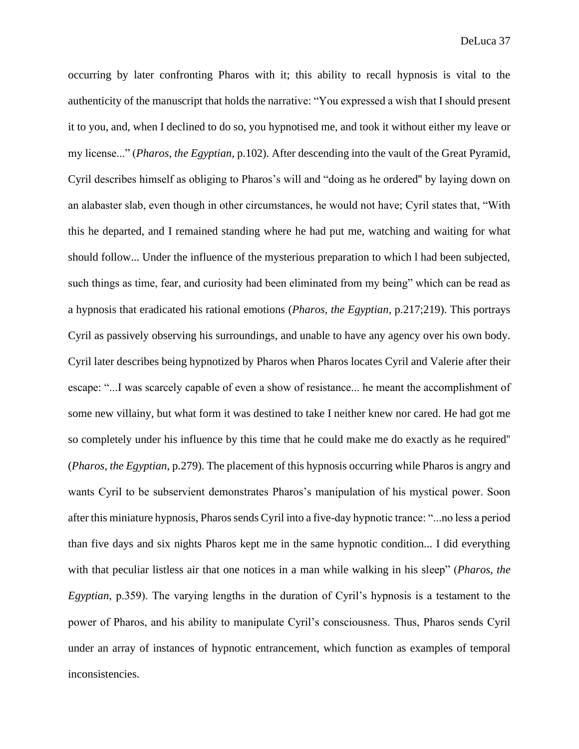occurring by later confronting Pharos with it; this ability to recall hypnosis is vital to the authenticity of the manuscript that holds the narrative: "You expressed a wish that I should present it to you, and, when I declined to do so, you hypnotised me, and took it without either my leave or my license..." (*Pharos, the Egyptian,* p.102). After descending into the vault of the Great Pyramid, Cyril describes himself as obliging to Pharos's will and "doing as he ordered'' by laying down on an alabaster slab, even though in other circumstances, he would not have; Cyril states that, "With this he departed, and I remained standing where he had put me, watching and waiting for what should follow... Under the influence of the mysterious preparation to which l had been subjected, such things as time, fear, and curiosity had been eliminated from my being" which can be read as a hypnosis that eradicated his rational emotions (*Pharos, the Egyptian*, p.217;219). This portrays Cyril as passively observing his surroundings, and unable to have any agency over his own body. Cyril later describes being hypnotized by Pharos when Pharos locates Cyril and Valerie after their escape: "...I was scarcely capable of even a show of resistance... he meant the accomplishment of some new villainy, but what form it was destined to take I neither knew nor cared. He had got me so completely under his influence by this time that he could make me do exactly as he required'' (*Pharos, the Egyptian*, p.279). The placement of this hypnosis occurring while Pharos is angry and wants Cyril to be subservient demonstrates Pharos's manipulation of his mystical power. Soon after this miniature hypnosis, Pharos sends Cyril into a five-day hypnotic trance: "...no less a period than five days and six nights Pharos kept me in the same hypnotic condition... I did everything with that peculiar listless air that one notices in a man while walking in his sleep" (*Pharos, the Egyptian*, p.359). The varying lengths in the duration of Cyril's hypnosis is a testament to the power of Pharos, and his ability to manipulate Cyril's consciousness. Thus, Pharos sends Cyril under an array of instances of hypnotic entrancement, which function as examples of temporal inconsistencies.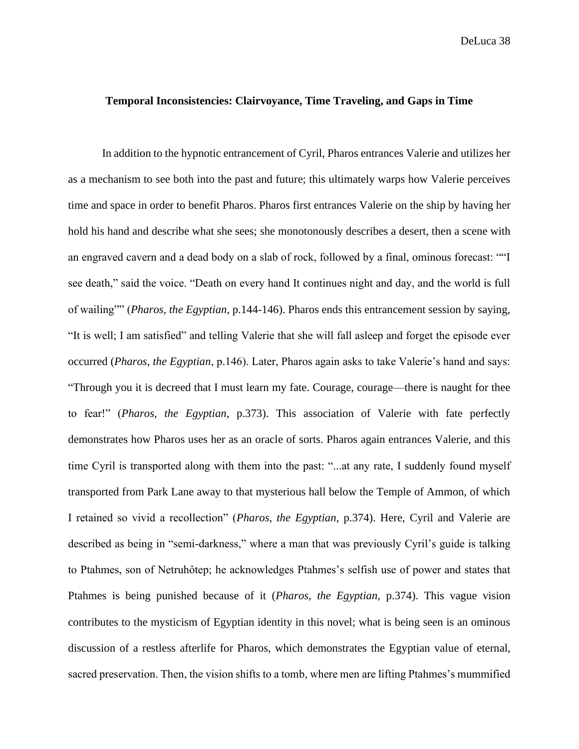DeLuca 38

## **Temporal Inconsistencies: Clairvoyance, Time Traveling, and Gaps in Time**

In addition to the hypnotic entrancement of Cyril, Pharos entrances Valerie and utilizes her as a mechanism to see both into the past and future; this ultimately warps how Valerie perceives time and space in order to benefit Pharos. Pharos first entrances Valerie on the ship by having her hold his hand and describe what she sees; she monotonously describes a desert, then a scene with an engraved cavern and a dead body on a slab of rock, followed by a final, ominous forecast: ""I see death," said the voice. "Death on every hand It continues night and day, and the world is full of wailing"" (*Pharos, the Egyptian*, p.144-146). Pharos ends this entrancement session by saying, "It is well; I am satisfied" and telling Valerie that she will fall asleep and forget the episode ever occurred (*Pharos, the Egyptian*, p.146). Later, Pharos again asks to take Valerie's hand and says: "Through you it is decreed that I must learn my fate. Courage, courage—there is naught for thee to fear!" (*Pharos, the Egyptian*, p.373). This association of Valerie with fate perfectly demonstrates how Pharos uses her as an oracle of sorts. Pharos again entrances Valerie, and this time Cyril is transported along with them into the past: "...at any rate, I suddenly found myself transported from Park Lane away to that mysterious hall below the Temple of Ammon, of which I retained so vivid a recollection" (*Pharos, the Egyptian*, p.374). Here, Cyril and Valerie are described as being in "semi-darkness," where a man that was previously Cyril's guide is talking to Ptahmes, son of Netruhôtep; he acknowledges Ptahmes's selfish use of power and states that Ptahmes is being punished because of it (*Pharos, the Egyptian*, p.374). This vague vision contributes to the mysticism of Egyptian identity in this novel; what is being seen is an ominous discussion of a restless afterlife for Pharos, which demonstrates the Egyptian value of eternal, sacred preservation. Then, the vision shifts to a tomb, where men are lifting Ptahmes's mummified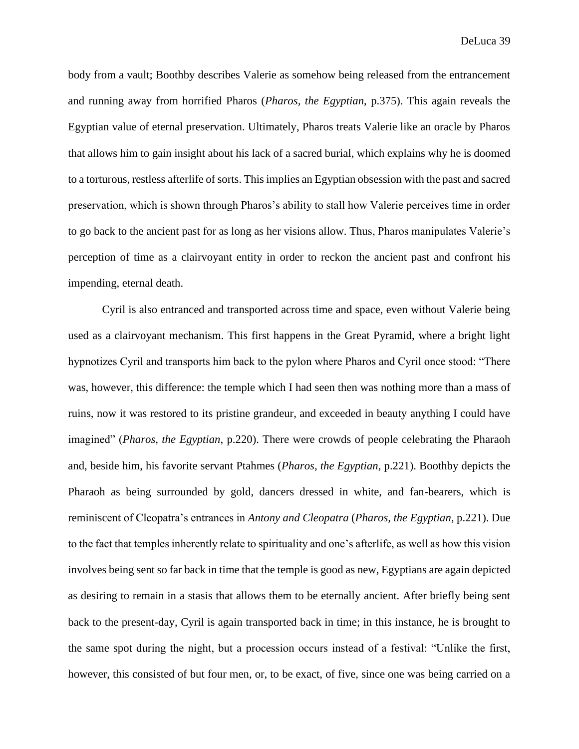body from a vault; Boothby describes Valerie as somehow being released from the entrancement and running away from horrified Pharos (*Pharos, the Egyptian*, p.375). This again reveals the Egyptian value of eternal preservation. Ultimately, Pharos treats Valerie like an oracle by Pharos that allows him to gain insight about his lack of a sacred burial, which explains why he is doomed to a torturous, restless afterlife of sorts. This implies an Egyptian obsession with the past and sacred preservation, which is shown through Pharos's ability to stall how Valerie perceives time in order to go back to the ancient past for as long as her visions allow. Thus, Pharos manipulates Valerie's perception of time as a clairvoyant entity in order to reckon the ancient past and confront his impending, eternal death.

Cyril is also entranced and transported across time and space, even without Valerie being used as a clairvoyant mechanism. This first happens in the Great Pyramid, where a bright light hypnotizes Cyril and transports him back to the pylon where Pharos and Cyril once stood: "There was, however, this difference: the temple which I had seen then was nothing more than a mass of ruins, now it was restored to its pristine grandeur, and exceeded in beauty anything I could have imagined" (*Pharos, the Egyptian*, p.220). There were crowds of people celebrating the Pharaoh and, beside him, his favorite servant Ptahmes (*Pharos, the Egyptian*, p.221). Boothby depicts the Pharaoh as being surrounded by gold, dancers dressed in white, and fan-bearers, which is reminiscent of Cleopatra's entrances in *Antony and Cleopatra* (*Pharos, the Egyptian*, p.221). Due to the fact that temples inherently relate to spirituality and one's afterlife, as well as how this vision involves being sent so far back in time that the temple is good as new, Egyptians are again depicted as desiring to remain in a stasis that allows them to be eternally ancient. After briefly being sent back to the present-day, Cyril is again transported back in time; in this instance, he is brought to the same spot during the night, but a procession occurs instead of a festival: "Unlike the first, however, this consisted of but four men, or, to be exact, of five, since one was being carried on a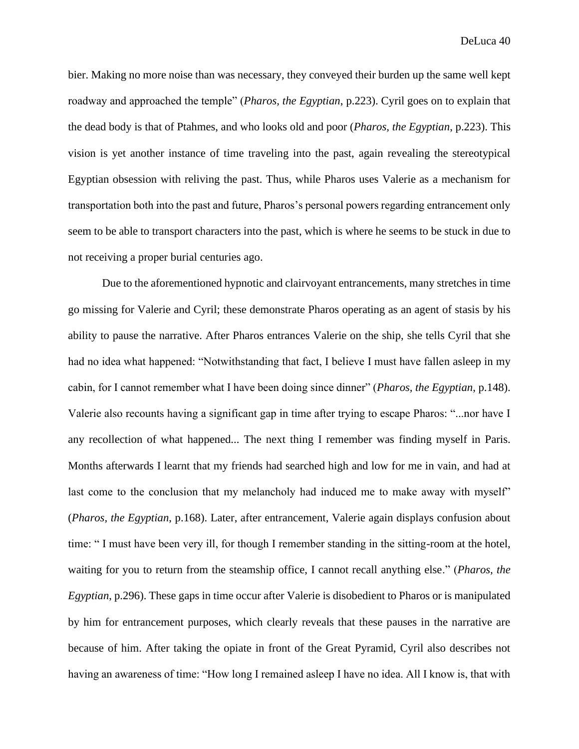bier. Making no more noise than was necessary, they conveyed their burden up the same well kept roadway and approached the temple" (*Pharos, the Egyptian*, p.223). Cyril goes on to explain that the dead body is that of Ptahmes, and who looks old and poor (*Pharos, the Egyptian*, p.223). This vision is yet another instance of time traveling into the past, again revealing the stereotypical Egyptian obsession with reliving the past. Thus, while Pharos uses Valerie as a mechanism for transportation both into the past and future, Pharos's personal powers regarding entrancement only seem to be able to transport characters into the past, which is where he seems to be stuck in due to not receiving a proper burial centuries ago.

Due to the aforementioned hypnotic and clairvoyant entrancements, many stretches in time go missing for Valerie and Cyril; these demonstrate Pharos operating as an agent of stasis by his ability to pause the narrative. After Pharos entrances Valerie on the ship, she tells Cyril that she had no idea what happened: "Notwithstanding that fact, I believe I must have fallen asleep in my cabin, for I cannot remember what I have been doing since dinner" (*Pharos, the Egyptian*, p.148). Valerie also recounts having a significant gap in time after trying to escape Pharos: "...nor have I any recollection of what happened... The next thing I remember was finding myself in Paris. Months afterwards I learnt that my friends had searched high and low for me in vain, and had at last come to the conclusion that my melancholy had induced me to make away with myself" (*Pharos, the Egyptian*, p.168). Later, after entrancement, Valerie again displays confusion about time: " I must have been very ill, for though I remember standing in the sitting-room at the hotel, waiting for you to return from the steamship office, I cannot recall anything else." (*Pharos, the Egyptian*, p.296). These gaps in time occur after Valerie is disobedient to Pharos or is manipulated by him for entrancement purposes, which clearly reveals that these pauses in the narrative are because of him. After taking the opiate in front of the Great Pyramid, Cyril also describes not having an awareness of time: "How long I remained asleep I have no idea. All I know is, that with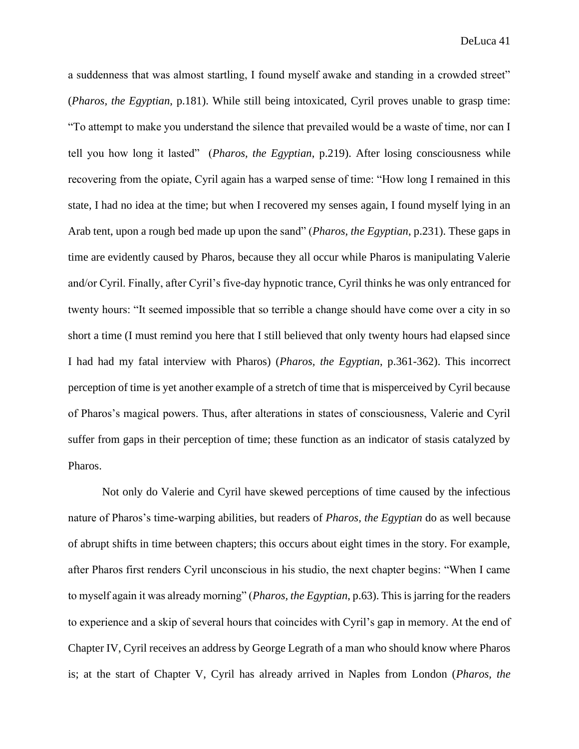a suddenness that was almost startling, I found myself awake and standing in a crowded street" (*Pharos, the Egyptian*, p.181). While still being intoxicated, Cyril proves unable to grasp time: "To attempt to make you understand the silence that prevailed would be a waste of time, nor can I tell you how long it lasted" (*Pharos, the Egyptian*, p.219). After losing consciousness while recovering from the opiate, Cyril again has a warped sense of time: "How long I remained in this state, I had no idea at the time; but when I recovered my senses again, I found myself lying in an Arab tent, upon a rough bed made up upon the sand" (*Pharos, the Egyptian*, p.231). These gaps in time are evidently caused by Pharos, because they all occur while Pharos is manipulating Valerie and/or Cyril. Finally, after Cyril's five-day hypnotic trance, Cyril thinks he was only entranced for twenty hours: "It seemed impossible that so terrible a change should have come over a city in so short a time (I must remind you here that I still believed that only twenty hours had elapsed since I had had my fatal interview with Pharos) (*Pharos, the Egyptian*, p.361-362). This incorrect perception of time is yet another example of a stretch of time that is misperceived by Cyril because of Pharos's magical powers. Thus, after alterations in states of consciousness, Valerie and Cyril suffer from gaps in their perception of time; these function as an indicator of stasis catalyzed by Pharos.

Not only do Valerie and Cyril have skewed perceptions of time caused by the infectious nature of Pharos's time-warping abilities, but readers of *Pharos, the Egyptian* do as well because of abrupt shifts in time between chapters; this occurs about eight times in the story. For example, after Pharos first renders Cyril unconscious in his studio, the next chapter begins: "When I came to myself again it was already morning" (*Pharos, the Egyptian*, p.63). This is jarring for the readers to experience and a skip of several hours that coincides with Cyril's gap in memory. At the end of Chapter IV, Cyril receives an address by George Legrath of a man who should know where Pharos is; at the start of Chapter V, Cyril has already arrived in Naples from London (*Pharos, the*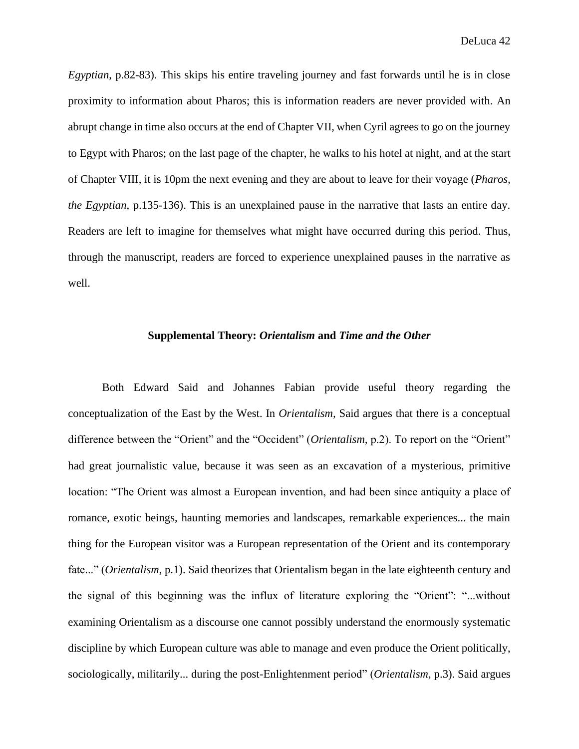*Egyptian*, p.82-83). This skips his entire traveling journey and fast forwards until he is in close proximity to information about Pharos; this is information readers are never provided with. An abrupt change in time also occurs at the end of Chapter VII, when Cyril agrees to go on the journey to Egypt with Pharos; on the last page of the chapter, he walks to his hotel at night, and at the start of Chapter VIII, it is 10pm the next evening and they are about to leave for their voyage (*Pharos, the Egyptian*, p.135-136). This is an unexplained pause in the narrative that lasts an entire day. Readers are left to imagine for themselves what might have occurred during this period. Thus, through the manuscript, readers are forced to experience unexplained pauses in the narrative as well.

#### **Supplemental Theory:** *Orientalism* **and** *Time and the Other*

Both Edward Said and Johannes Fabian provide useful theory regarding the conceptualization of the East by the West. In *Orientalism,* Said argues that there is a conceptual difference between the "Orient" and the "Occident" (*Orientalism,* p.2). To report on the "Orient" had great journalistic value, because it was seen as an excavation of a mysterious, primitive location: "The Orient was almost a European invention, and had been since antiquity a place of romance, exotic beings, haunting memories and landscapes, remarkable experiences... the main thing for the European visitor was a European representation of the Orient and its contemporary fate..." (*Orientalism,* p.1). Said theorizes that Orientalism began in the late eighteenth century and the signal of this beginning was the influx of literature exploring the "Orient": "...without examining Orientalism as a discourse one cannot possibly understand the enormously systematic discipline by which European culture was able to manage and even produce the Orient politically, sociologically, militarily... during the post-Enlightenment period" (*Orientalism,* p.3). Said argues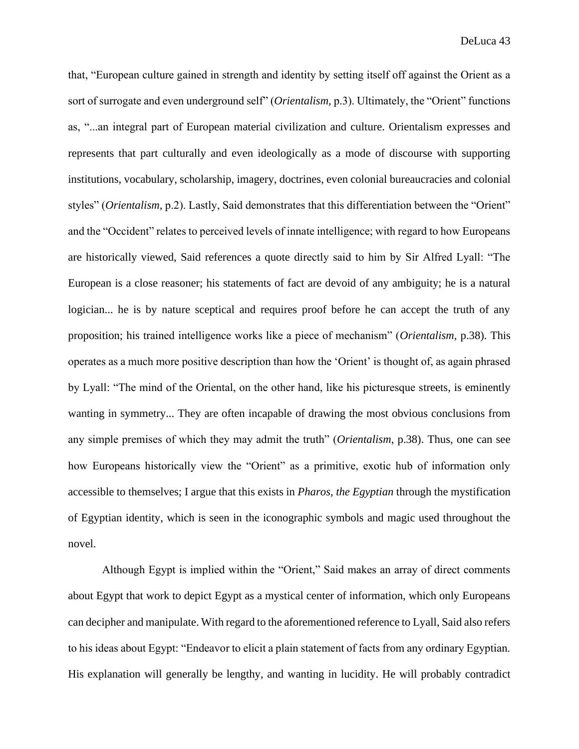that, "European culture gained in strength and identity by setting itself off against the Orient as a sort of surrogate and even underground self" (*Orientalism,* p.3). Ultimately, the "Orient" functions as, "...an integral part of European material civilization and culture. Orientalism expresses and represents that part culturally and even ideologically as a mode of discourse with supporting institutions, vocabulary, scholarship, imagery, doctrines, even colonial bureaucracies and colonial styles" (*Orientalism,* p.2). Lastly, Said demonstrates that this differentiation between the "Orient" and the "Occident" relates to perceived levels of innate intelligence; with regard to how Europeans are historically viewed, Said references a quote directly said to him by Sir Alfred Lyall: "The European is a close reasoner; his statements of fact are devoid of any ambiguity; he is a natural logician... he is by nature sceptical and requires proof before he can accept the truth of any proposition; his trained intelligence works like a piece of mechanism" (*Orientalism,* p.38). This operates as a much more positive description than how the 'Orient' is thought of, as again phrased by Lyall: "The mind of the Oriental, on the other hand, like his picturesque streets, is eminently wanting in symmetry... They are often incapable of drawing the most obvious conclusions from any simple premises of which they may admit the truth" (*Orientalism*, p.38). Thus, one can see how Europeans historically view the "Orient" as a primitive, exotic hub of information only accessible to themselves; I argue that this exists in *Pharos, the Egyptian* through the mystification of Egyptian identity, which is seen in the iconographic symbols and magic used throughout the novel.

 Although Egypt is implied within the "Orient," Said makes an array of direct comments about Egypt that work to depict Egypt as a mystical center of information, which only Europeans can decipher and manipulate. With regard to the aforementioned reference to Lyall, Said also refers to his ideas about Egypt: "Endeavor to elicit a plain statement of facts from any ordinary Egyptian. His explanation will generally be lengthy, and wanting in lucidity. He will probably contradict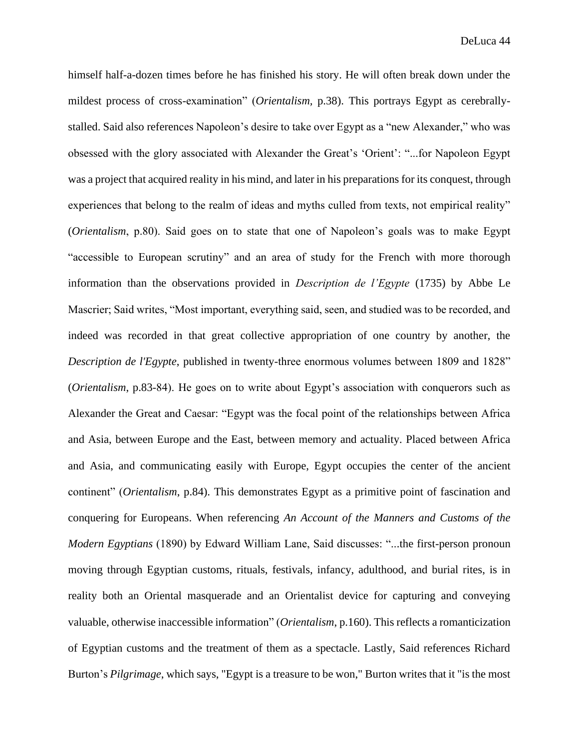himself half-a-dozen times before he has finished his story. He will often break down under the mildest process of cross-examination" (*Orientalism,* p.38). This portrays Egypt as cerebrallystalled. Said also references Napoleon's desire to take over Egypt as a "new Alexander," who was obsessed with the glory associated with Alexander the Great's 'Orient': "...for Napoleon Egypt was a project that acquired reality in his mind, and later in his preparations for its conquest, through experiences that belong to the realm of ideas and myths culled from texts, not empirical reality" (*Orientalism*, p.80). Said goes on to state that one of Napoleon's goals was to make Egypt "accessible to European scrutiny" and an area of study for the French with more thorough information than the observations provided in *Description de l'Egypte* (1735) by Abbe Le Mascrier; Said writes, "Most important, everything said, seen, and studied was to be recorded, and indeed was recorded in that great collective appropriation of one country by another, the *Description de l'Egypte*, published in twenty-three enormous volumes between 1809 and 1828" (*Orientalism*, p.83-84). He goes on to write about Egypt's association with conquerors such as Alexander the Great and Caesar: "Egypt was the focal point of the relationships between Africa and Asia, between Europe and the East, between memory and actuality. Placed between Africa and Asia, and communicating easily with Europe, Egypt occupies the center of the ancient continent" (*Orientalism*, p.84). This demonstrates Egypt as a primitive point of fascination and conquering for Europeans. When referencing *An Account of the Manners and Customs of the Modern Egyptians* (1890) by Edward William Lane, Said discusses: "...the first-person pronoun moving through Egyptian customs, rituals, festivals, infancy, adulthood, and burial rites, is in reality both an Oriental masquerade and an Orientalist device for capturing and conveying valuable, otherwise inaccessible information" (*Orientalism*, p.160). This reflects a romanticization of Egyptian customs and the treatment of them as a spectacle. Lastly, Said references Richard Burton's *Pilgrimage*, which says, "Egypt is a treasure to be won," Burton writes that it "is the most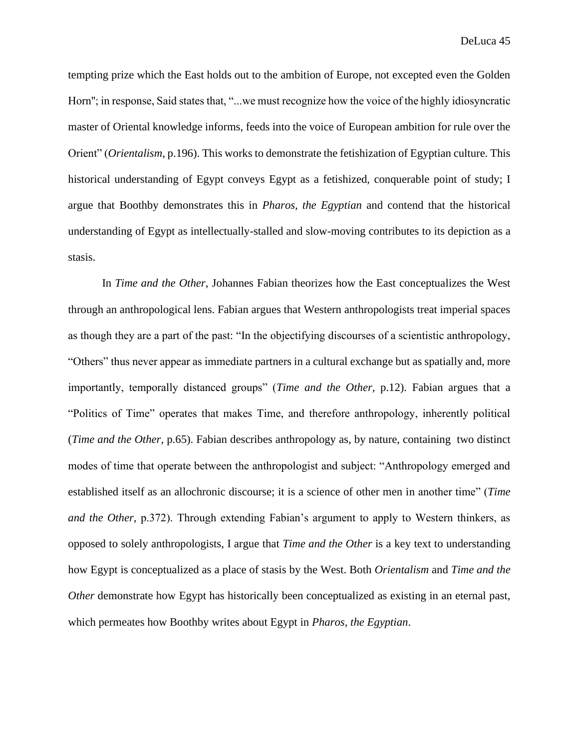tempting prize which the East holds out to the ambition of Europe, not excepted even the Golden Horn''; in response, Said states that, "...we must recognize how the voice of the highly idiosyncratic master of Oriental knowledge informs, feeds into the voice of European ambition for rule over the Orient" (*Orientalism*, p.196). This works to demonstrate the fetishization of Egyptian culture. This historical understanding of Egypt conveys Egypt as a fetishized, conquerable point of study; I argue that Boothby demonstrates this in *Pharos, the Egyptian* and contend that the historical understanding of Egypt as intellectually-stalled and slow-moving contributes to its depiction as a stasis.

 In *Time and the Other*, Johannes Fabian theorizes how the East conceptualizes the West through an anthropological lens. Fabian argues that Western anthropologists treat imperial spaces as though they are a part of the past: "In the objectifying discourses of a scientistic anthropology, "Others" thus never appear as immediate partners in a cultural exchange but as spatially and, more importantly, temporally distanced groups" (*Time and the Other,* p.12). Fabian argues that a "Politics of Time" operates that makes Time, and therefore anthropology, inherently political (*Time and the Other,* p.65). Fabian describes anthropology as, by nature, containing two distinct modes of time that operate between the anthropologist and subject: "Anthropology emerged and established itself as an allochronic discourse; it is a science of other men in another time" (*Time and the Other,* p.372). Through extending Fabian's argument to apply to Western thinkers, as opposed to solely anthropologists, I argue that *Time and the Other* is a key text to understanding how Egypt is conceptualized as a place of stasis by the West. Both *Orientalism* and *Time and the Other* demonstrate how Egypt has historically been conceptualized as existing in an eternal past, which permeates how Boothby writes about Egypt in *Pharos, the Egyptian*.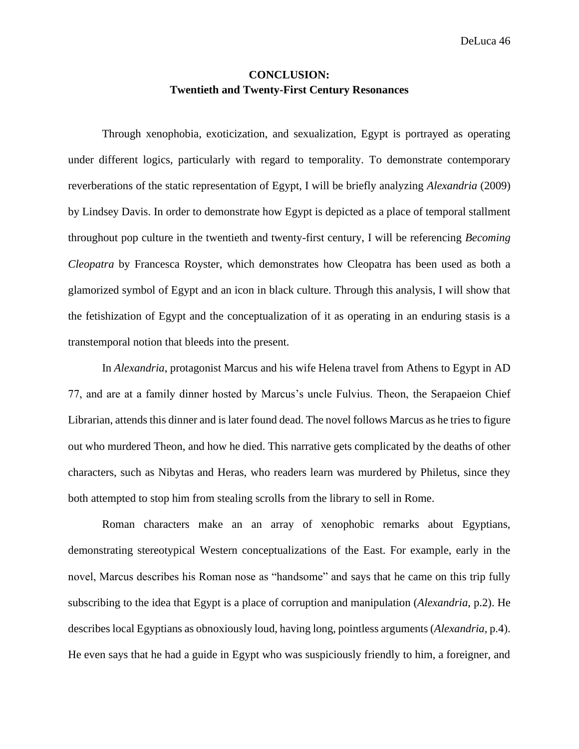## **CONCLUSION: Twentieth and Twenty-First Century Resonances**

Through xenophobia, exoticization, and sexualization, Egypt is portrayed as operating under different logics, particularly with regard to temporality. To demonstrate contemporary reverberations of the static representation of Egypt, I will be briefly analyzing *Alexandria* (2009) by Lindsey Davis. In order to demonstrate how Egypt is depicted as a place of temporal stallment throughout pop culture in the twentieth and twenty-first century, I will be referencing *Becoming Cleopatra* by Francesca Royster, which demonstrates how Cleopatra has been used as both a glamorized symbol of Egypt and an icon in black culture. Through this analysis, I will show that the fetishization of Egypt and the conceptualization of it as operating in an enduring stasis is a transtemporal notion that bleeds into the present.

In *Alexandria*, protagonist Marcus and his wife Helena travel from Athens to Egypt in AD 77, and are at a family dinner hosted by Marcus's uncle Fulvius. Theon, the Serapaeion Chief Librarian, attends this dinner and is later found dead. The novel follows Marcus as he tries to figure out who murdered Theon, and how he died. This narrative gets complicated by the deaths of other characters, such as Nibytas and Heras, who readers learn was murdered by Philetus, since they both attempted to stop him from stealing scrolls from the library to sell in Rome.

Roman characters make an an array of xenophobic remarks about Egyptians, demonstrating stereotypical Western conceptualizations of the East. For example, early in the novel, Marcus describes his Roman nose as "handsome" and says that he came on this trip fully subscribing to the idea that Egypt is a place of corruption and manipulation (*Alexandria*, p.2). He describes local Egyptians as obnoxiously loud, having long, pointless arguments (*Alexandria,* p.4). He even says that he had a guide in Egypt who was suspiciously friendly to him, a foreigner, and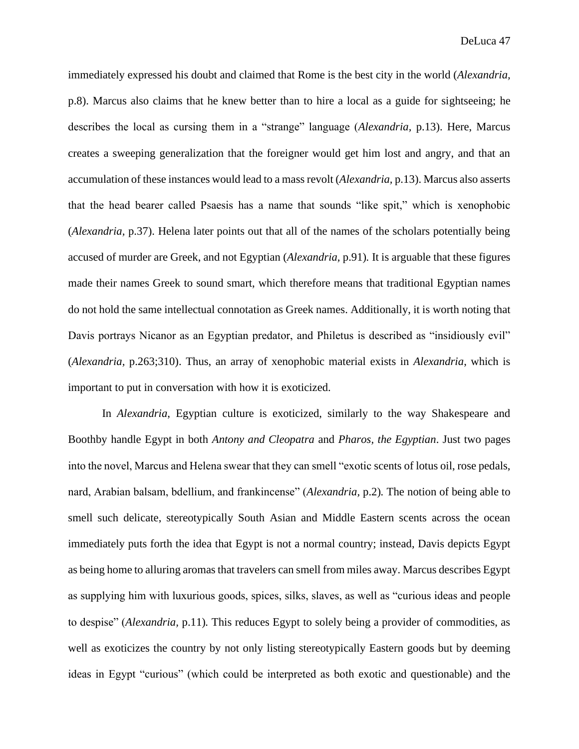immediately expressed his doubt and claimed that Rome is the best city in the world (*Alexandria,*  p.8). Marcus also claims that he knew better than to hire a local as a guide for sightseeing; he describes the local as cursing them in a "strange" language (*Alexandria,* p.13). Here, Marcus creates a sweeping generalization that the foreigner would get him lost and angry, and that an accumulation of these instances would lead to a mass revolt (*Alexandria,* p.13). Marcus also asserts that the head bearer called Psaesis has a name that sounds "like spit," which is xenophobic (*Alexandria,* p.37). Helena later points out that all of the names of the scholars potentially being accused of murder are Greek, and not Egyptian (*Alexandria,* p.91)*.* It is arguable that these figures made their names Greek to sound smart, which therefore means that traditional Egyptian names do not hold the same intellectual connotation as Greek names. Additionally, it is worth noting that Davis portrays Nicanor as an Egyptian predator, and Philetus is described as "insidiously evil" (*Alexandria,* p.263;310). Thus, an array of xenophobic material exists in *Alexandria*, which is important to put in conversation with how it is exoticized.

In *Alexandria*, Egyptian culture is exoticized, similarly to the way Shakespeare and Boothby handle Egypt in both *Antony and Cleopatra* and *Pharos, the Egyptian*. Just two pages into the novel, Marcus and Helena swear that they can smell "exotic scents of lotus oil, rose pedals, nard, Arabian balsam, bdellium, and frankincense" (*Alexandria,* p.2)*.* The notion of being able to smell such delicate, stereotypically South Asian and Middle Eastern scents across the ocean immediately puts forth the idea that Egypt is not a normal country; instead, Davis depicts Egypt as being home to alluring aromas that travelers can smell from miles away. Marcus describes Egypt as supplying him with luxurious goods, spices, silks, slaves, as well as "curious ideas and people to despise" (*Alexandria,* p.11)*.* This reduces Egypt to solely being a provider of commodities, as well as exoticizes the country by not only listing stereotypically Eastern goods but by deeming ideas in Egypt "curious" (which could be interpreted as both exotic and questionable) and the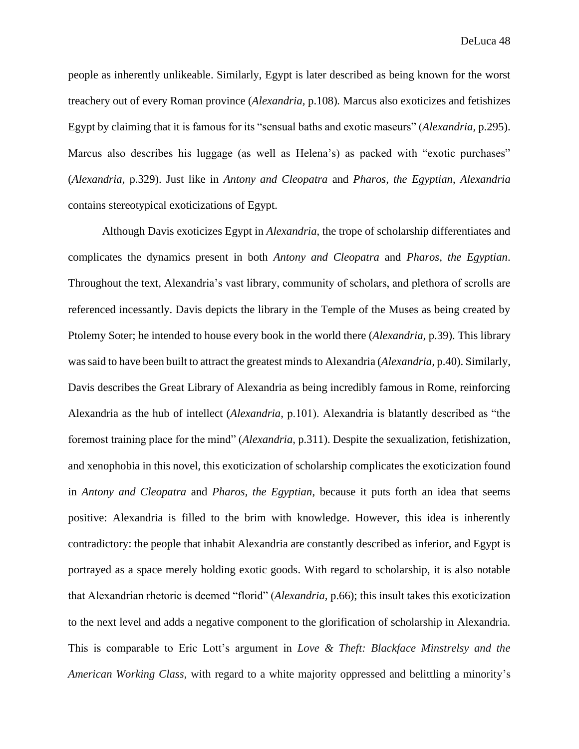people as inherently unlikeable. Similarly, Egypt is later described as being known for the worst treachery out of every Roman province (*Alexandria,* p.108)*.* Marcus also exoticizes and fetishizes Egypt by claiming that it is famous for its "sensual baths and exotic maseurs" (*Alexandria,* p.295). Marcus also describes his luggage (as well as Helena's) as packed with "exotic purchases" (*Alexandria,* p.329). Just like in *Antony and Cleopatra* and *Pharos, the Egyptian*, *Alexandria*  contains stereotypical exoticizations of Egypt.

Although Davis exoticizes Egypt in *Alexandria*, the trope of scholarship differentiates and complicates the dynamics present in both *Antony and Cleopatra* and *Pharos, the Egyptian*. Throughout the text, Alexandria's vast library, community of scholars, and plethora of scrolls are referenced incessantly. Davis depicts the library in the Temple of the Muses as being created by Ptolemy Soter; he intended to house every book in the world there (*Alexandria,* p.39). This library was said to have been built to attract the greatest minds to Alexandria (*Alexandria,* p.40). Similarly, Davis describes the Great Library of Alexandria as being incredibly famous in Rome, reinforcing Alexandria as the hub of intellect (*Alexandria,* p.101). Alexandria is blatantly described as "the foremost training place for the mind" (*Alexandria,* p.311). Despite the sexualization, fetishization, and xenophobia in this novel, this exoticization of scholarship complicates the exoticization found in *Antony and Cleopatra* and *Pharos, the Egyptian*, because it puts forth an idea that seems positive: Alexandria is filled to the brim with knowledge. However, this idea is inherently contradictory: the people that inhabit Alexandria are constantly described as inferior, and Egypt is portrayed as a space merely holding exotic goods. With regard to scholarship, it is also notable that Alexandrian rhetoric is deemed "florid" (*Alexandria,* p.66); this insult takes this exoticization to the next level and adds a negative component to the glorification of scholarship in Alexandria. This is comparable to Eric Lott's argument in *Love & Theft: Blackface Minstrelsy and the American Working Class*, with regard to a white majority oppressed and belittling a minority's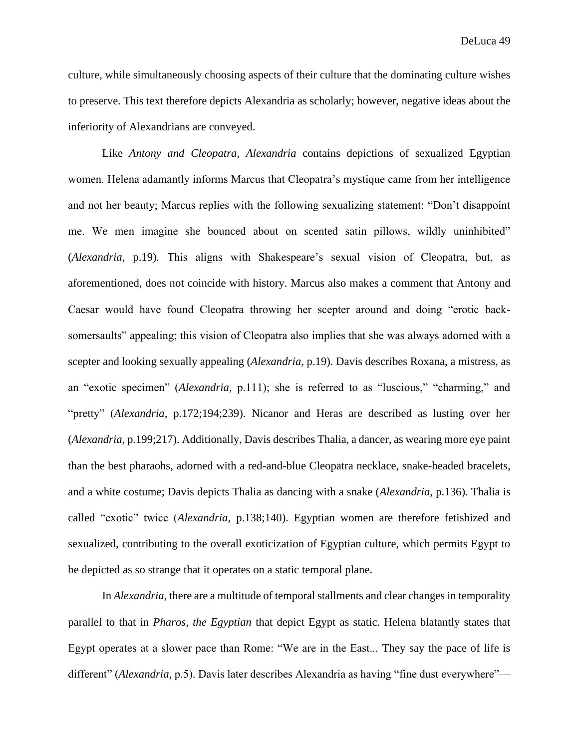culture, while simultaneously choosing aspects of their culture that the dominating culture wishes to preserve. This text therefore depicts Alexandria as scholarly; however, negative ideas about the inferiority of Alexandrians are conveyed.

Like *Antony and Cleopatra*, *Alexandria* contains depictions of sexualized Egyptian women. Helena adamantly informs Marcus that Cleopatra's mystique came from her intelligence and not her beauty; Marcus replies with the following sexualizing statement: "Don't disappoint me. We men imagine she bounced about on scented satin pillows, wildly uninhibited" (*Alexandria,* p.19)*.* This aligns with Shakespeare's sexual vision of Cleopatra, but, as aforementioned, does not coincide with history. Marcus also makes a comment that Antony and Caesar would have found Cleopatra throwing her scepter around and doing "erotic backsomersaults" appealing; this vision of Cleopatra also implies that she was always adorned with a scepter and looking sexually appealing (*Alexandria,* p.19)*.* Davis describes Roxana, a mistress, as an "exotic specimen" (*Alexandria,* p.111); she is referred to as "luscious," "charming," and "pretty" (*Alexandria,* p.172;194;239). Nicanor and Heras are described as lusting over her (*Alexandria,* p.199;217). Additionally, Davis describes Thalia, a dancer, as wearing more eye paint than the best pharaohs, adorned with a red-and-blue Cleopatra necklace, snake-headed bracelets, and a white costume; Davis depicts Thalia as dancing with a snake (*Alexandria,* p.136). Thalia is called "exotic" twice (*Alexandria,* p.138;140). Egyptian women are therefore fetishized and sexualized, contributing to the overall exoticization of Egyptian culture, which permits Egypt to be depicted as so strange that it operates on a static temporal plane.

In *Alexandria*, there are a multitude of temporal stallments and clear changes in temporality parallel to that in *Pharos, the Egyptian* that depict Egypt as static. Helena blatantly states that Egypt operates at a slower pace than Rome: "We are in the East... They say the pace of life is different" (*Alexandria,* p.5). Davis later describes Alexandria as having "fine dust everywhere"—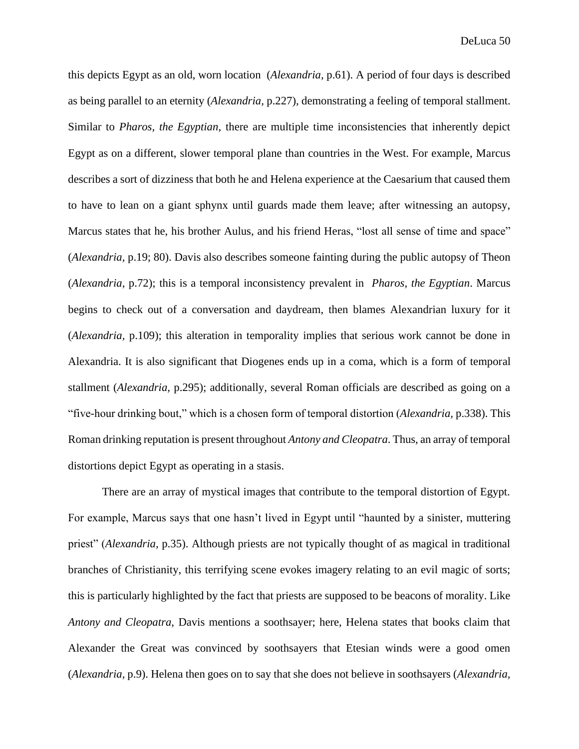this depicts Egypt as an old, worn location (*Alexandria,* p.61). A period of four days is described as being parallel to an eternity (*Alexandria,* p.227), demonstrating a feeling of temporal stallment. Similar to *Pharos, the Egyptian*, there are multiple time inconsistencies that inherently depict Egypt as on a different, slower temporal plane than countries in the West. For example, Marcus describes a sort of dizziness that both he and Helena experience at the Caesarium that caused them to have to lean on a giant sphynx until guards made them leave; after witnessing an autopsy, Marcus states that he, his brother Aulus, and his friend Heras, "lost all sense of time and space" (*Alexandria,* p.19; 80). Davis also describes someone fainting during the public autopsy of Theon (*Alexandria,* p.72); this is a temporal inconsistency prevalent in *Pharos, the Egyptian*. Marcus begins to check out of a conversation and daydream, then blames Alexandrian luxury for it (*Alexandria,* p.109); this alteration in temporality implies that serious work cannot be done in Alexandria. It is also significant that Diogenes ends up in a coma, which is a form of temporal stallment (*Alexandria,* p.295); additionally, several Roman officials are described as going on a "five-hour drinking bout," which is a chosen form of temporal distortion (*Alexandria,* p.338). This Roman drinking reputation is present throughout *Antony and Cleopatra*. Thus, an array of temporal distortions depict Egypt as operating in a stasis.

There are an array of mystical images that contribute to the temporal distortion of Egypt. For example, Marcus says that one hasn't lived in Egypt until "haunted by a sinister, muttering priest" (*Alexandria,* p.35). Although priests are not typically thought of as magical in traditional branches of Christianity, this terrifying scene evokes imagery relating to an evil magic of sorts; this is particularly highlighted by the fact that priests are supposed to be beacons of morality. Like *Antony and Cleopatra*, Davis mentions a soothsayer; here, Helena states that books claim that Alexander the Great was convinced by soothsayers that Etesian winds were a good omen (*Alexandria,* p.9). Helena then goes on to say that she does not believe in soothsayers (*Alexandria,*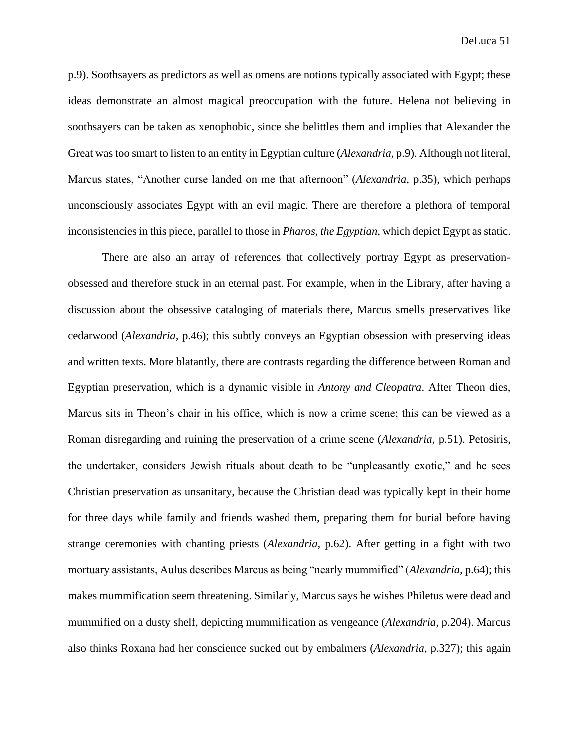p.9). Soothsayers as predictors as well as omens are notions typically associated with Egypt; these ideas demonstrate an almost magical preoccupation with the future. Helena not believing in soothsayers can be taken as xenophobic, since she belittles them and implies that Alexander the Great was too smart to listen to an entity in Egyptian culture (*Alexandria,* p.9). Although not literal, Marcus states, "Another curse landed on me that afternoon" (*Alexandria,* p.35), which perhaps unconsciously associates Egypt with an evil magic. There are therefore a plethora of temporal inconsistencies in this piece, parallel to those in *Pharos, the Egyptian*, which depict Egypt as static.

There are also an array of references that collectively portray Egypt as preservationobsessed and therefore stuck in an eternal past. For example, when in the Library, after having a discussion about the obsessive cataloging of materials there, Marcus smells preservatives like cedarwood (*Alexandria,* p.46); this subtly conveys an Egyptian obsession with preserving ideas and written texts. More blatantly, there are contrasts regarding the difference between Roman and Egyptian preservation, which is a dynamic visible in *Antony and Cleopatra*. After Theon dies, Marcus sits in Theon's chair in his office, which is now a crime scene; this can be viewed as a Roman disregarding and ruining the preservation of a crime scene (*Alexandria,* p.51). Petosiris, the undertaker, considers Jewish rituals about death to be "unpleasantly exotic," and he sees Christian preservation as unsanitary, because the Christian dead was typically kept in their home for three days while family and friends washed them, preparing them for burial before having strange ceremonies with chanting priests (*Alexandria,* p.62). After getting in a fight with two mortuary assistants, Aulus describes Marcus as being "nearly mummified" (*Alexandria,* p.64); this makes mummification seem threatening. Similarly, Marcus says he wishes Philetus were dead and mummified on a dusty shelf, depicting mummification as vengeance (*Alexandria,* p.204). Marcus also thinks Roxana had her conscience sucked out by embalmers (*Alexandria,* p.327); this again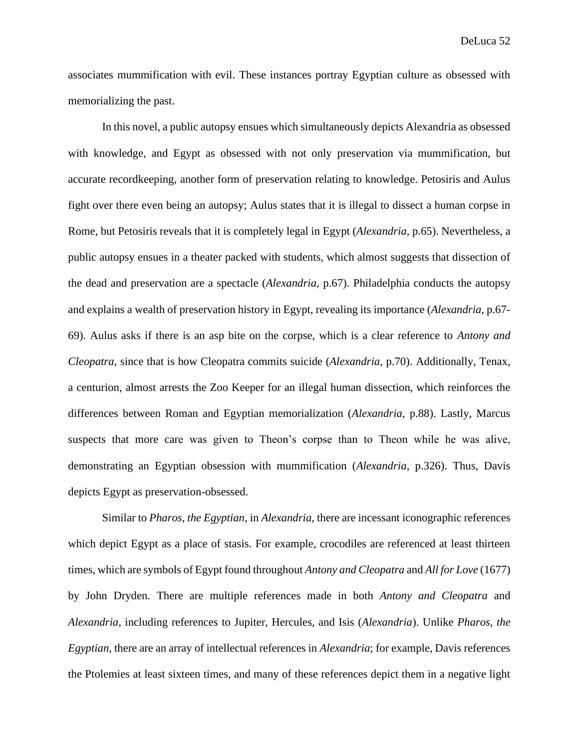associates mummification with evil. These instances portray Egyptian culture as obsessed with memorializing the past.

In this novel, a public autopsy ensues which simultaneously depicts Alexandria as obsessed with knowledge, and Egypt as obsessed with not only preservation via mummification, but accurate recordkeeping, another form of preservation relating to knowledge. Petosiris and Aulus fight over there even being an autopsy; Aulus states that it is illegal to dissect a human corpse in Rome, but Petosiris reveals that it is completely legal in Egypt (*Alexandria,* p.65). Nevertheless, a public autopsy ensues in a theater packed with students, which almost suggests that dissection of the dead and preservation are a spectacle (*Alexandria,* p.67). Philadelphia conducts the autopsy and explains a wealth of preservation history in Egypt, revealing its importance (*Alexandria,* p.67- 69). Aulus asks if there is an asp bite on the corpse, which is a clear reference to *Antony and Cleopatra*, since that is how Cleopatra commits suicide (*Alexandria,* p.70). Additionally, Tenax, a centurion, almost arrests the Zoo Keeper for an illegal human dissection, which reinforces the differences between Roman and Egyptian memorialization (*Alexandria,* p.88). Lastly, Marcus suspects that more care was given to Theon's corpse than to Theon while he was alive, demonstrating an Egyptian obsession with mummification (*Alexandria,* p.326). Thus, Davis depicts Egypt as preservation-obsessed.

Similar to *Pharos, the Egyptian*, in *Alexandria*, there are incessant iconographic references which depict Egypt as a place of stasis. For example, crocodiles are referenced at least thirteen times, which are symbols of Egypt found throughout *Antony and Cleopatra* and *All for Love* (1677) by John Dryden. There are multiple references made in both *Antony and Cleopatra* and *Alexandria*, including references to Jupiter, Hercules, and Isis (*Alexandria*). Unlike *Pharos, the Egyptian*, there are an array of intellectual references in *Alexandria*; for example, Davis references the Ptolemies at least sixteen times, and many of these references depict them in a negative light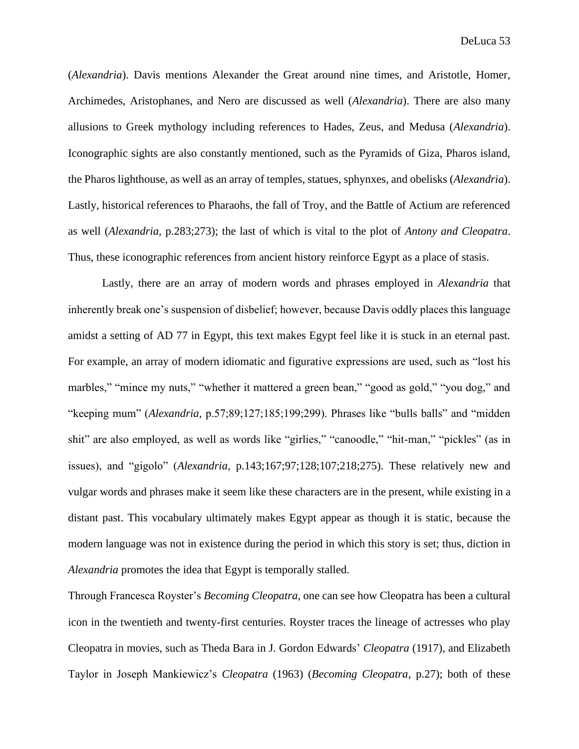(*Alexandria*). Davis mentions Alexander the Great around nine times, and Aristotle, Homer, Archimedes, Aristophanes, and Nero are discussed as well (*Alexandria*). There are also many allusions to Greek mythology including references to Hades, Zeus, and Medusa (*Alexandria*). Iconographic sights are also constantly mentioned, such as the Pyramids of Giza, Pharos island, the Pharos lighthouse, as well as an array of temples, statues, sphynxes, and obelisks (*Alexandria*). Lastly, historical references to Pharaohs, the fall of Troy, and the Battle of Actium are referenced as well (*Alexandria,* p.283;273); the last of which is vital to the plot of *Antony and Cleopatra*. Thus, these iconographic references from ancient history reinforce Egypt as a place of stasis.

Lastly, there are an array of modern words and phrases employed in *Alexandria* that inherently break one's suspension of disbelief; however, because Davis oddly places this language amidst a setting of AD 77 in Egypt, this text makes Egypt feel like it is stuck in an eternal past. For example, an array of modern idiomatic and figurative expressions are used, such as "lost his marbles," "mince my nuts," "whether it mattered a green bean," "good as gold," "you dog," and "keeping mum" (*Alexandria,* p.57;89;127;185;199;299). Phrases like "bulls balls" and "midden shit" are also employed, as well as words like "girlies," "canoodle," "hit-man," "pickles" (as in issues), and "gigolo" (*Alexandria,* p.143;167;97;128;107;218;275). These relatively new and vulgar words and phrases make it seem like these characters are in the present, while existing in a distant past. This vocabulary ultimately makes Egypt appear as though it is static, because the modern language was not in existence during the period in which this story is set; thus, diction in *Alexandria* promotes the idea that Egypt is temporally stalled.

Through Francesca Royster's *Becoming Cleopatra*, one can see how Cleopatra has been a cultural icon in the twentieth and twenty-first centuries. Royster traces the lineage of actresses who play Cleopatra in movies, such as Theda Bara in J. Gordon Edwards' *Cleopatra* (1917), and Elizabeth Taylor in Joseph Mankiewicz's *Cleopatra* (1963) (*Becoming Cleopatra,* p.27); both of these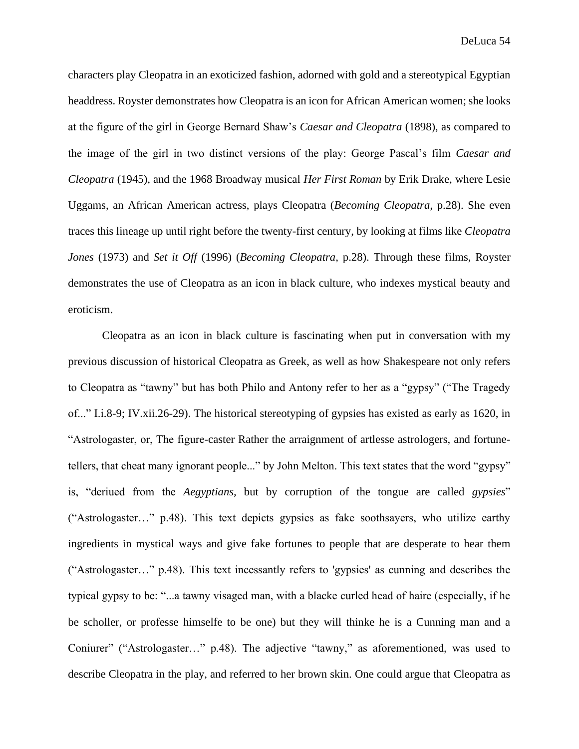characters play Cleopatra in an exoticized fashion, adorned with gold and a stereotypical Egyptian headdress. Royster demonstrates how Cleopatra is an icon for African American women; she looks at the figure of the girl in George Bernard Shaw's *Caesar and Cleopatra* (1898), as compared to the image of the girl in two distinct versions of the play: George Pascal's film *Caesar and Cleopatra* (1945)*,* and the 1968 Broadway musical *Her First Roman* by Erik Drake, where Lesie Uggams, an African American actress, plays Cleopatra (*Becoming Cleopatra,* p.28). She even traces this lineage up until right before the twenty-first century, by looking at films like *Cleopatra Jones* (1973) and *Set it Off* (1996) (*Becoming Cleopatra,* p.28). Through these films, Royster demonstrates the use of Cleopatra as an icon in black culture, who indexes mystical beauty and eroticism.

Cleopatra as an icon in black culture is fascinating when put in conversation with my previous discussion of historical Cleopatra as Greek, as well as how Shakespeare not only refers to Cleopatra as "tawny" but has both Philo and Antony refer to her as a "gypsy" ("The Tragedy of..." I.i.8-9; IV.xii.26-29). The historical stereotyping of gypsies has existed as early as 1620, in "Astrologaster, or, The figure-caster Rather the arraignment of artlesse astrologers, and fortunetellers, that cheat many ignorant people..." by John Melton. This text states that the word "gypsy" is, "deriued from the *Aegyptians,* but by corruption of the tongue are called *gypsies*" ("Astrologaster…" p.48). This text depicts gypsies as fake soothsayers, who utilize earthy ingredients in mystical ways and give fake fortunes to people that are desperate to hear them ("Astrologaster…" p.48). This text incessantly refers to 'gypsies' as cunning and describes the typical gypsy to be: "...a tawny visaged man, with a blacke curled head of haire (especially, if he be scholler, or professe himselfe to be one) but they will thinke he is a Cunning man and a Coniurer" ("Astrologaster…" p.48). The adjective "tawny," as aforementioned, was used to describe Cleopatra in the play, and referred to her brown skin. One could argue that Cleopatra as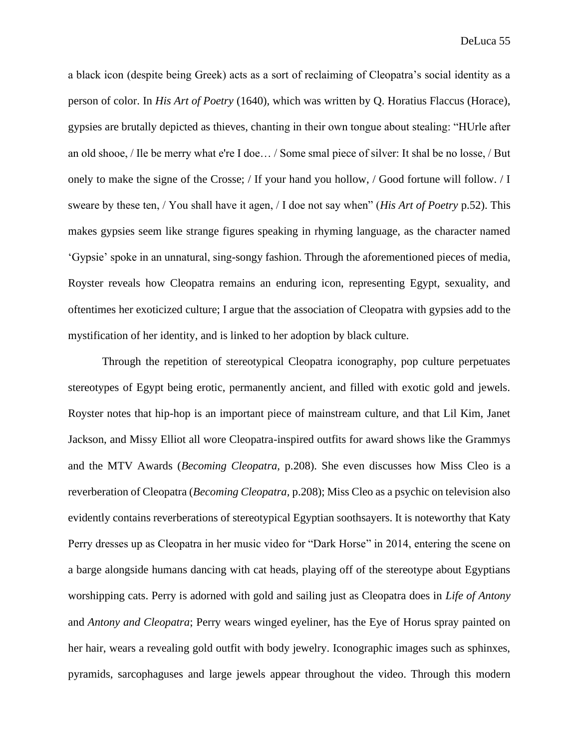a black icon (despite being Greek) acts as a sort of reclaiming of Cleopatra's social identity as a person of color. In *His Art of Poetry* (1640)*,* which was written by Q. Horatius Flaccus (Horace), gypsies are brutally depicted as thieves, chanting in their own tongue about stealing: "HUrle after an old shooe, / Ile be merry what e're I doe… / Some smal piece of silver: It shal be no losse, / But onely to make the signe of the Crosse; / If your hand you hollow, / Good fortune will follow. / I sweare by these ten, / You shall have it agen, / I doe not say when" (*His Art of Poetry* p.52). This makes gypsies seem like strange figures speaking in rhyming language, as the character named 'Gypsie' spoke in an unnatural, sing-songy fashion. Through the aforementioned pieces of media, Royster reveals how Cleopatra remains an enduring icon, representing Egypt, sexuality, and oftentimes her exoticized culture; I argue that the association of Cleopatra with gypsies add to the mystification of her identity, and is linked to her adoption by black culture.

Through the repetition of stereotypical Cleopatra iconography, pop culture perpetuates stereotypes of Egypt being erotic, permanently ancient, and filled with exotic gold and jewels. Royster notes that hip-hop is an important piece of mainstream culture, and that Lil Kim, Janet Jackson, and Missy Elliot all wore Cleopatra-inspired outfits for award shows like the Grammys and the MTV Awards (*Becoming Cleopatra,* p.208). She even discusses how Miss Cleo is a reverberation of Cleopatra (*Becoming Cleopatra,* p.208); Miss Cleo as a psychic on television also evidently contains reverberations of stereotypical Egyptian soothsayers. It is noteworthy that Katy Perry dresses up as Cleopatra in her music video for "Dark Horse" in 2014, entering the scene on a barge alongside humans dancing with cat heads, playing off of the stereotype about Egyptians worshipping cats. Perry is adorned with gold and sailing just as Cleopatra does in *Life of Antony*  and *Antony and Cleopatra*; Perry wears winged eyeliner, has the Eye of Horus spray painted on her hair, wears a revealing gold outfit with body jewelry. Iconographic images such as sphinxes, pyramids, sarcophaguses and large jewels appear throughout the video. Through this modern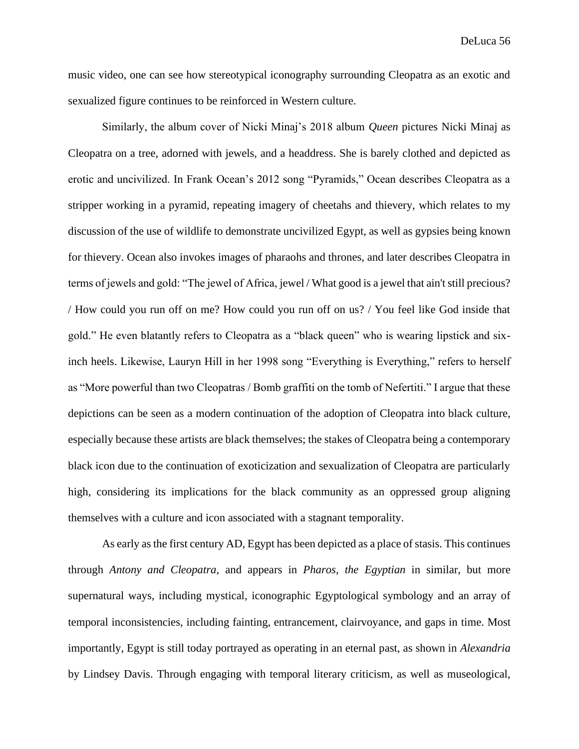music video, one can see how stereotypical iconography surrounding Cleopatra as an exotic and sexualized figure continues to be reinforced in Western culture.

Similarly, the album cover of Nicki Minaj's 2018 album *Queen* pictures Nicki Minaj as Cleopatra on a tree, adorned with jewels, and a headdress. She is barely clothed and depicted as erotic and uncivilized. In Frank Ocean's 2012 song "Pyramids," Ocean describes Cleopatra as a stripper working in a pyramid, repeating imagery of cheetahs and thievery, which relates to my discussion of the use of wildlife to demonstrate uncivilized Egypt, as well as gypsies being known for thievery. Ocean also invokes images of pharaohs and thrones, and later describes Cleopatra in terms of jewels and gold: "The jewel of Africa, jewel / What good is a jewel that ain't still precious? / How could you run off on me? How could you run off on us? / You feel like God inside that gold." He even blatantly refers to Cleopatra as a "black queen" who is wearing lipstick and sixinch heels. Likewise, Lauryn Hill in her 1998 song "Everything is Everything," refers to herself as "More powerful than two Cleopatras / Bomb graffiti on the tomb of Nefertiti." I argue that these depictions can be seen as a modern continuation of the adoption of Cleopatra into black culture, especially because these artists are black themselves; the stakes of Cleopatra being a contemporary black icon due to the continuation of exoticization and sexualization of Cleopatra are particularly high, considering its implications for the black community as an oppressed group aligning themselves with a culture and icon associated with a stagnant temporality.

As early as the first century AD, Egypt has been depicted as a place of stasis. This continues through *Antony and Cleopatra*, and appears in *Pharos, the Egyptian* in similar, but more supernatural ways, including mystical, iconographic Egyptological symbology and an array of temporal inconsistencies, including fainting, entrancement, clairvoyance, and gaps in time. Most importantly, Egypt is still today portrayed as operating in an eternal past, as shown in *Alexandria*  by Lindsey Davis. Through engaging with temporal literary criticism, as well as museological,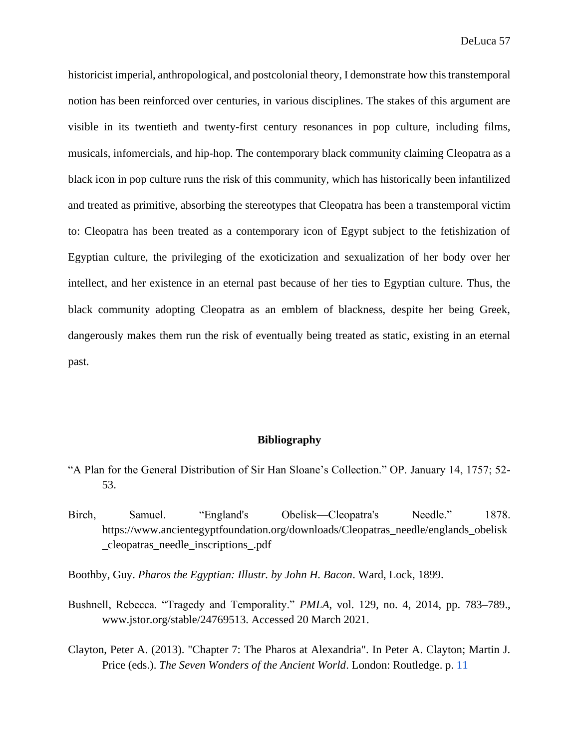historicist imperial, anthropological, and postcolonial theory, I demonstrate how this transtemporal notion has been reinforced over centuries, in various disciplines. The stakes of this argument are visible in its twentieth and twenty-first century resonances in pop culture, including films, musicals, infomercials, and hip-hop. The contemporary black community claiming Cleopatra as a black icon in pop culture runs the risk of this community, which has historically been infantilized and treated as primitive, absorbing the stereotypes that Cleopatra has been a transtemporal victim to: Cleopatra has been treated as a contemporary icon of Egypt subject to the fetishization of Egyptian culture, the privileging of the exoticization and sexualization of her body over her intellect, and her existence in an eternal past because of her ties to Egyptian culture. Thus, the black community adopting Cleopatra as an emblem of blackness, despite her being Greek, dangerously makes them run the risk of eventually being treated as static, existing in an eternal past.

## **Bibliography**

- "A Plan for the General Distribution of Sir Han Sloane's Collection." OP. January 14, 1757; 52- 53.
- Birch, Samuel. "England's Obelisk—Cleopatra's Needle." 1878. https://www.ancientegyptfoundation.org/downloads/Cleopatras\_needle/englands\_obelisk \_cleopatras\_needle\_inscriptions\_.pdf

Boothby, Guy. *Pharos the Egyptian: Illustr. by John H. Bacon*. Ward, Lock, 1899.

- Bushnell, Rebecca. "Tragedy and Temporality." *PMLA*, vol. 129, no. 4, 2014, pp. 783–789., www.jstor.org/stable/24769513. Accessed 20 March 2021.
- Clayton, Peter A. (2013). "Chapter 7: The Pharos at Alexandria". In Peter A. Clayton; Martin J. Price (eds.). *The Seven Wonders of the Ancient World*. London: Routledge. p[.](https://books.google.com/books?id=UU2AAAAAQBAJ&pg=PA11) [11](https://books.google.com/books?id=UU2AAAAAQBAJ&pg=PA11)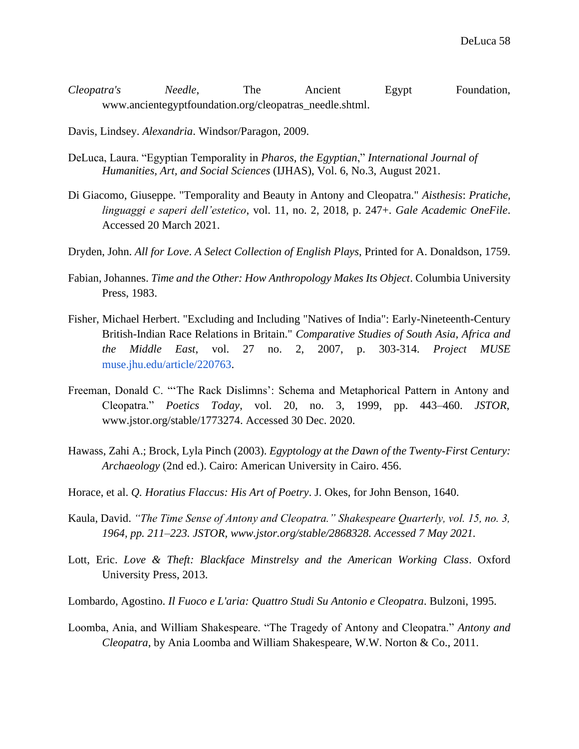*Cleopatra's Needle*, The Ancient Egypt Foundation, www.ancientegyptfoundation.org/cleopatras\_needle.shtml.

Davis, Lindsey. *Alexandria*. Windsor/Paragon, 2009.

- DeLuca, Laura. "Egyptian Temporality in *Pharos, the Egyptian*," *International Journal of Humanities, Art, and Social Sciences* (IJHAS), Vol. 6, No.3, August 2021.
- Di Giacomo, Giuseppe. "Temporality and Beauty in Antony and Cleopatra." *Aisthesis*: *Pratiche, linguaggi e saperi dell'estetico*, vol. 11, no. 2, 2018, p. 247+. *Gale Academic OneFile*. Accessed 20 March 2021.
- Dryden, John. *All for Love*. *A Select Collection of English Plays*, Printed for A. Donaldson, 1759.
- Fabian, Johannes. *Time and the Other: How Anthropology Makes Its Object*. Columbia University Press, 1983.
- Fisher, Michael Herbert. "Excluding and Including "Natives of India": Early-Nineteenth-Century British-Indian Race Relations in Britain." *Comparative Studies of South Asia, Africa and the Middle East*, vol. 27 no. 2, 2007, p. 303-314. *Project MUS[E](https://muse.jhu.edu/article/220763)* [muse.jhu.edu/article/220763.](https://muse.jhu.edu/article/220763)
- Freeman, Donald C. "'The Rack Dislimns': Schema and Metaphorical Pattern in Antony and Cleopatra." *Poetics Today*, vol. 20, no. 3, 1999, pp. 443–460. *JSTOR*[,](http://www.jstor.org/stable/1773274) [www.jstor.org/stable/1773274.](http://www.jstor.org/stable/1773274) Accessed 30 Dec. 2020.
- Hawass, Zahi A.; Brock, Lyla Pinch (2003). *Egyptology at the Dawn of the Twenty-First Century: Archaeology* (2nd ed.). Cairo: American University in Cairo. 456.
- Horace, et al. *Q. Horatius Flaccus: His Art of Poetry*. J. Okes, for John Benson, 1640.
- Kaula, David. *"The Time Sense of Antony and Cleopatra." Shakespeare Quarterly, vol. 15, no. 3, 1964, pp. 211–223. JSTOR, www.jstor.org/stable/2868328. Accessed 7 May 2021.*
- Lott, Eric. *Love & Theft: Blackface Minstrelsy and the American Working Class*. Oxford University Press, 2013.
- Lombardo, Agostino. *Il Fuoco e L'aria: Quattro Studi Su Antonio e Cleopatra*. Bulzoni, 1995.
- Loomba, Ania, and William Shakespeare. "The Tragedy of Antony and Cleopatra." *Antony and Cleopatra*, by Ania Loomba and William Shakespeare, W.W. Norton & Co., 2011.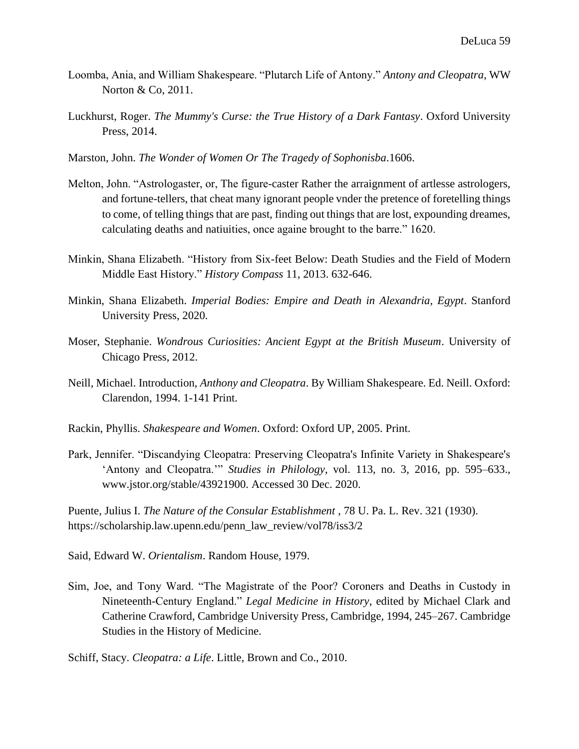- Loomba, Ania, and William Shakespeare. "Plutarch Life of Antony." *Antony and Cleopatra*, WW Norton & Co, 2011.
- Luckhurst, Roger. *The Mummy's Curse: the True History of a Dark Fantasy*. Oxford University Press, 2014.
- Marston, John. *The Wonder of Women Or The Tragedy of Sophonisba*.1606.
- Melton, John. "Astrologaster, or, The figure-caster Rather the arraignment of artlesse astrologers, and fortune-tellers, that cheat many ignorant people vnder the pretence of foretelling things to come, of telling things that are past, finding out things that are lost, expounding dreames, calculating deaths and natiuities, once againe brought to the barre." 1620.
- Minkin, Shana Elizabeth. "History from Six-feet Below: Death Studies and the Field of Modern Middle East History." *History Compass* 11, 2013. 632-646.
- Minkin, Shana Elizabeth. *Imperial Bodies: Empire and Death in Alexandria, Egypt*. Stanford University Press, 2020.
- Moser, Stephanie. *Wondrous Curiosities: Ancient Egypt at the British Museum*. University of Chicago Press, 2012.
- Neill, Michael. Introduction, *Anthony and Cleopatra*. By William Shakespeare. Ed. Neill. Oxford: Clarendon, 1994. 1-141 Print.
- Rackin, Phyllis. *Shakespeare and Women*. Oxford: Oxford UP, 2005. Print.
- Park, Jennifer. "Discandying Cleopatra: Preserving Cleopatra's Infinite Variety in Shakespeare's 'Antony and Cleopatra.'" *Studies in Philology*, vol. 113, no. 3, 2016, pp. 595–633., www.jstor.org/stable/43921900. Accessed 30 Dec. 2020.

Puente, Julius I. *The Nature of the Consular Establishment* , 78 U. Pa. L. Rev. 321 (1930). https://scholarship.law.upenn.edu/penn\_law\_review/vol78/iss3/2

Said, Edward W. *Orientalism*. Random House, 1979.

Sim, Joe, and Tony Ward. "The Magistrate of the Poor? Coroners and Deaths in Custody in Nineteenth-Century England." *Legal Medicine in History*, edited by Michael Clark and Catherine Crawford, Cambridge University Press, Cambridge, 1994, 245–267. Cambridge Studies in the History of Medicine.

Schiff, Stacy. *Cleopatra: a Life*. Little, Brown and Co., 2010.